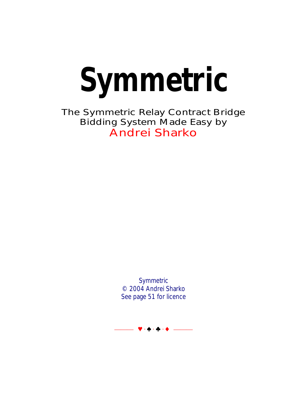**Symmetric** 

The Symmetric Relay Contract Bridge Bidding System Made Easy by Andrei Sharko

> **Symmetric** © 2004 Andrei Sharko See page 51 for licence

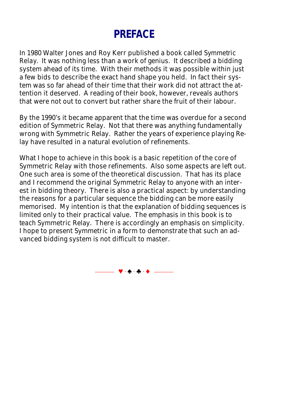# **PREFACE**

In 1980 Walter Jones and Roy Kerr published a book called *Symmetric Relay*. It was nothing less than a work of genius. It described a bidding system ahead of its time. With their methods it was possible within just a few bids to describe the exact hand shape you held. In fact their system was so far ahead of their time that their work did not attract the attention it deserved. A reading of their book, however, reveals authors that were not out to convert but rather share the fruit of their labour.

By the 1990's it became apparent that the time was overdue for a second edition of Symmetric Relay. Not that there was anything fundamentally wrong with Symmetric Relay. Rather the years of experience playing Relay have resulted in a natural evolution of refinements.

What I hope to achieve in this book is a basic repetition of the core of Symmetric Relay with those refinements. Also some aspects are left out. One such area is some of the theoretical discussion. That has its place and I recommend the original Symmetric Relay to anyone with an interest in bidding theory. There is also a practical aspect: by understanding the reasons for a particular sequence the bidding can be more easily memorised. My intention is that the explanation of bidding sequences is limited only to their practical value. The emphasis in this book is to *teach* Symmetric Relay. There is accordingly an emphasis on simplicity. I hope to present Symmetric in a form to demonstrate that such an advanced bidding system is not difficult to master.

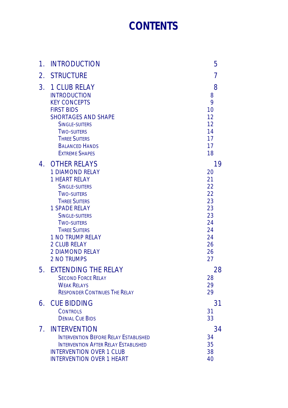# **[CONTENTS](#page-18-0)**

| 1.                               | <b>INTRODUCTION</b>                                                                                                                                                                                                                                                                                                                           | 5                                                                                |
|----------------------------------|-----------------------------------------------------------------------------------------------------------------------------------------------------------------------------------------------------------------------------------------------------------------------------------------------------------------------------------------------|----------------------------------------------------------------------------------|
| 2.                               | <b>STRUCTURE</b>                                                                                                                                                                                                                                                                                                                              | 7                                                                                |
| 3 <sub>1</sub>                   | <b>1 CLUB RELAY</b><br><b>INTRODUCTION</b><br><b>KEY CONCEPTS</b><br><b>FIRST BIDS</b><br><b>SHORTAGES AND SHAPE</b><br><b>SINGLE-SUITERS</b><br><b>TWO-SUITERS</b><br><b>THREE SUITERS</b><br><b>BALANCED HANDS</b><br><b>EXTREME SHAPES</b>                                                                                                 | 8<br>8<br>9<br>10<br>12<br>12<br>14<br>17<br>17<br>18                            |
| 4.                               | <b>OTHER RELAYS</b><br><b>1 DIAMOND RELAY</b><br><b>1 HEART RELAY</b><br><b>SINGLE-SUITERS</b><br><b>TWO-SUITERS</b><br><b>THREE SUITERS</b><br><b>1 SPADE RELAY</b><br><b>SINGLE-SUITERS</b><br><b>TWO-SUITERS</b><br><b>THREE SUITERS</b><br><b>1 NO TRUMP RELAY</b><br><b>2 CLUB RELAY</b><br><b>2 DIAMOND RELAY</b><br><b>2 NO TRUMPS</b> | 19<br>20<br>21<br>22<br>22<br>23<br>23<br>23<br>24<br>24<br>24<br>26<br>26<br>27 |
| 5.                               | <b>EXTENDING THE RELAY</b><br><b>SECOND FORCE RELAY</b><br><b>WEAK RELAYS</b><br><b>RESPONDER CONTINUES THE RELAY</b>                                                                                                                                                                                                                         | 28<br>28<br>29<br>29                                                             |
| 6.                               | <b>CUE BIDDING</b><br><b>CONTROLS</b><br><b>DENIAL CUE BIDS</b>                                                                                                                                                                                                                                                                               | 31<br>31<br>33                                                                   |
| $7_{\scriptscriptstyle{\wedge}}$ | <b>INTERVENTION</b><br><b>INTERVENTION BEFORE RELAY ESTABLISHED</b><br><b>INTERVENTION AFTER RELAY ESTABLISHED</b><br><b>INTERVENTION OVER 1 CLUB</b><br><b>INTERVENTION OVER 1 HEART</b>                                                                                                                                                     | 34<br>34<br>35<br>38<br>40                                                       |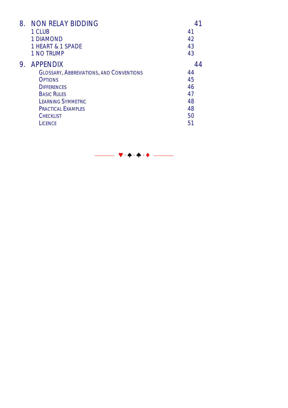| 8. | NON RELAY BIDDING                               |    |
|----|-------------------------------------------------|----|
|    | 1 CLUB                                          | 41 |
|    | <b>1 DIAMOND</b>                                | 42 |
|    | 1 HEART & 1 SPADE                               | 43 |
|    | 1 NO TRUMP                                      | 43 |
| 9. | <b>APPENDIX</b>                                 |    |
|    | <b>GLOSSARY, ABBREVIATIONS, AND CONVENTIONS</b> | 44 |
|    | <b>OPTIONS</b>                                  | 45 |
|    | <b>DIFFERENCES</b>                              | 46 |
|    | <b>BASIC RULES</b>                              | 47 |
|    | <b>LEARNING SYMMETRIC</b>                       | 48 |
|    | <b>PRACTICAL EXAMPLES</b>                       | 48 |
|    | <b>CHECKLIST</b>                                | 50 |
|    | <b>LICENCE</b>                                  | 51 |

⎯⎯⎯ y · z · w · x ⎯⎯⎯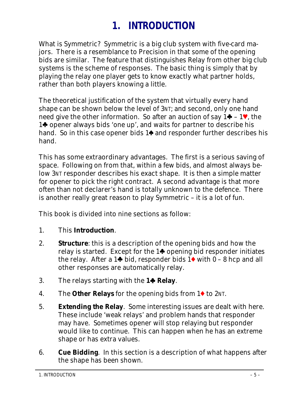# **1. INTRODUCTION**

What is Symmetric? Symmetric is a big club system with five-card majors. There is a resemblance to Precision in that some of the opening bids are similar. The feature that distinguishes Relay from other big club systems is the scheme of responses. The basic thing is simply that by playing the relay one player gets to know exactly what partner holds, rather than both players knowing a little.

The theoretical justification of the system that virtually every hand shape can be shown below the level of 3NT; and second, only one hand need give the other information. So after an auction of say  $1 \bigarrow -1 \vee$ , the 1<sup>t</sup> opener always bids 'one up', and waits for partner to describe his hand. So in this case opener bids  $1\spadesuit$  and responder further describes his hand.

This has some extraordinary advantages. The first is a serious saving of space. Following on from that, within a few bids, and almost always below 3NT responder describes his exact shape. It is then a simple matter for opener to pick the right contract. A second advantage is that more often than not declarer's hand is totally unknown to the defence. There is another really great reason to play Symmetric – it is a lot of fun.

This book is divided into nine sections as follow:

- 1. This **Introduction**.
- 2. **Structure**: this is a description of the opening bids and how the relay is started. Except for the  $1\spadesuit$  opening bid responder initiates the relay. After a 1 $\blacklozenge$  bid, responder bids 1 $\blacklozenge$  with 0 – 8 hcp and all other responses are automatically relay.
- 3. The relays starting with the **1**w **Relay**.
- 4. The **Other Relays** for the opening bids from 1<sup>t</sup> to 2NT.
- 5. **Extending the Relay**. Some interesting issues are dealt with here. These include 'weak relays' and problem hands that responder may have. Sometimes opener will stop relaying but responder would like to continue. This can happen when he has an extreme shape or has extra values.
- 6. **Cue Bidding**. In this section is a description of what happens after the shape has been shown.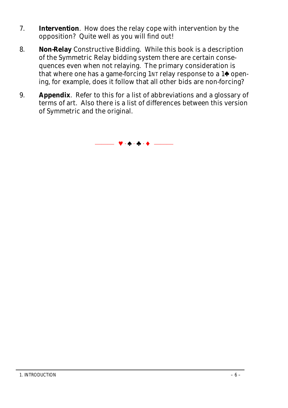- 7. **Intervention**. How does the relay cope with intervention by the opposition? Quite well as you will find out!
- 8. **Non-Relay** Constructive Bidding. While this book is a description of the Symmetric Relay bidding system there are certain consequences even when not relaying. The primary consideration is that where one has a game-forcing  $1 \text{N}$ T relay response to a  $1 \spadesuit$  opening, for example, does it follow that all other bids are non-forcing?
- 9. **Appendix**. Refer to this for a list of abbreviations and a glossary of terms of art. Also there is a list of differences between this version of Symmetric and the original.

 $\Psi \cdot \Phi \cdot \Phi \cdot \Phi$  .  $\longrightarrow$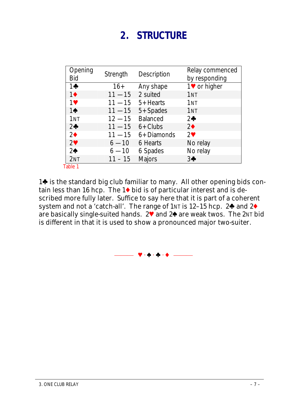# **2. STRUCTURE**

| Opening<br>Bid   | Strength  | Description   | Relay commenced<br>by responding |
|------------------|-----------|---------------|----------------------------------|
| $1 +$            | $16+$     | Any shape     | 1♥ or higher                     |
| $1\blacklozenge$ | $11 - 15$ | 2 suited      | 1 <sub>NT</sub>                  |
| $1$ V            | $11 - 15$ | 5+ Hearts     | 1 <sub>NT</sub>                  |
| $1\spadesuit$    | $11 - 15$ | 5+ Spades     | 1 <sub>NT</sub>                  |
| 1 <sub>NT</sub>  | $12 - 15$ | Balanced      | $2\clubsuit$                     |
| 2 <sub>0</sub>   | $11 - 15$ | $6+$ Clubs    | $2\bullet$                       |
| 2 <sup>4</sup>   | $11 - 15$ | 6+ Diamonds   | $2^{\vee}$                       |
| 2 <sup>4</sup>   | $6 - 10$  | 6 Hearts      | No relay                         |
| 2 <sub>0</sub>   | $6 - 10$  | 6 Spades      | No relay                         |
| 2NT              | $11 - 15$ | <b>Majors</b> | $3+$                             |
| Table 1          |           |               |                                  |

1<sup>t</sup> is the standard big club familiar to many. All other opening bids contain less than 16 hcp. The  $1\blacklozenge$  bid is of particular interest and is described more fully later. Suffice to say here that it is part of a coherent system and not a 'catch-all'. The range of  $1 \text{N}$  is  $12-15$  hcp.  $2\clubsuit$  and  $2\spadesuit$ are basically single-suited hands. 2<sup>y</sup> and 2<sup>o</sup> are weak twos. The 2NT bid is different in that it is used to show a pronounced major two-suiter.

⎯⎯⎯ y · z · w · x ⎯⎯⎯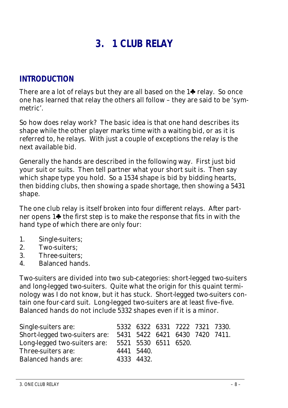# **3. 1 CLUB RELAY**

# **INTRODUCTION**

There are a lot of relays but they are all based on the  $1\clubsuit$  relay. So once one has learned that relay the others all follow – they are said to be 'symmetric'.

So how does relay work? The basic idea is that one hand describes its shape while the other player marks time with a waiting bid, or as it is referred to, he *relays.* With just a couple of exceptions the relay is the next available bid.

Generally the hands are described in the following way. First just bid your suit or suits. Then tell partner what your short suit is. Then say which shape type you hold. So a *1534* shape is bid by bidding hearts, then bidding clubs, then showing a spade shortage, then showing a 5431 shape.

The one club relay is itself broken into four different relays. After partner opens  $1\spadesuit$  the first step is to make the response that fits in with the hand type of which there are only four:

- 1. Single-suiters;
- 2. Two-suiters;
- 3. Three-suiters;
- 4. Balanced hands.

Two-suiters are divided into two sub-categories: short-legged two-suiters and long-legged two-suiters. Quite what the origin for this quaint terminology was I do not know, but it has stuck. Short-legged two-suiters contain one four-card suit. Long-legged two-suiters are at least five–five. Balanced hands do not include 5332 shapes even if it is a minor.

| Single-suiters are:                               |            | 5332 6322 6331 7222 7321 7330. |  |                                |
|---------------------------------------------------|------------|--------------------------------|--|--------------------------------|
| Short-legged two-suiters are:                     |            |                                |  | 5431 5422 6421 6430 7420 7411. |
| Long-legged two-suiters are: 5521 5530 6511 6520. |            |                                |  |                                |
| Three-suiters are:                                | 4441 5440. |                                |  |                                |
| <b>Balanced hands are:</b>                        |            | 4333 4432                      |  |                                |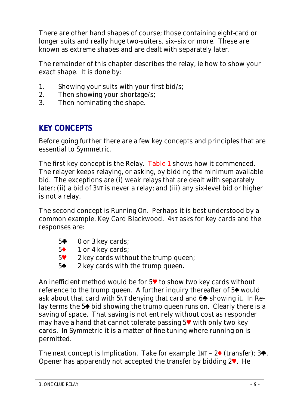There are other hand shapes of course; those containing eight-card or longer suits and really huge two-suiters, six–six or more. These are known as extreme shapes and are dealt with separately later.

The remainder of this chapter describes the relay, ie how to show your exact shape. It is done by:

- 1. Showing your suits with your first bid/s;
- 2. Then showing your shortage/s;
- 3. Then nominating the shape.

# **KEY CONCEPTS**

Before going further there are a few key concepts and principles that are essential to Symmetric.

The first key concept is the *Relay*. Table 1 shows how it commenced. The relayer keeps relaying, or asking, by bidding the minimum available bid. The exceptions are (i) *weak relays* that are dealt with separately later; (ii) a bid of 3NT is never a relay; and (iii) any six-level bid or higher is not a relay.

The second concept is *Running On*. Perhaps it is best understood by a common example, Key Card Blackwood. 4NT asks for key cards and the respo

| onses are:     |                                |  |  |
|----------------|--------------------------------|--|--|
|                | $5\clubsuit$ 0 or 3 key cards; |  |  |
| 5 <sup>4</sup> | 1 or 4 key cards;              |  |  |

- $5\degree$  2 key cards without the trump queen;
- $5\spadesuit$  2 key cards with the trump queen.

An inefficient method would be for  $5\%$  to show two key cards without reference to the trump queen. A further inquiry thereafter of 5<sup> $\spadesuit$ </sup> would ask about that card with  $5NT$  denying that card and  $6\spadesuit$  showing it. In Relay terms the 5<sup> $\spadesuit$ </sup> bid showing the trump queen *runs on*. Clearly there is a saving of space. That saving is not entirely without cost as responder may have a hand that cannot tolerate passing  $5\blacktriangledown$  with only two key cards. In Symmetric it is a matter of fine-tuning where running on is permitted.

The next concept is *Implication*. Take for example  $1NT - 2 \cdot (transfer)$ ; 3. Opener has apparently not accepted the transfer by bidding  $2^{\vee}$ . He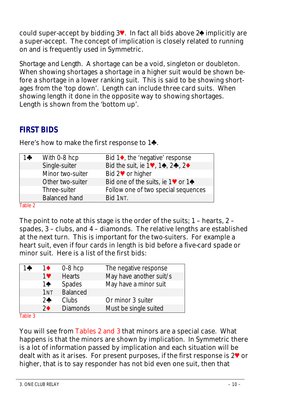could super-accept by bidding  $3\vee$ . In fact all bids above  $2\triangle$  implicitly are a super-accept. The concept of implication is closely related to running on and is frequently used in Symmetric.

*Shortage and Length*. A shortage can be a void, singleton or doubleton. When showing shortages a shortage in a higher suit would be shown before a shortage in a lower ranking suit. This is said to be showing shortages from the 'top down'. Length can include three card suits. When showing length it done in the opposite way to showing shortages. Length is shown from the 'bottom up'.

# **FIRST BIDS**

| 1♣ | With 0-8 hcp         | Bid $1\bullet$ , the 'negative' response                                                           |
|----|----------------------|----------------------------------------------------------------------------------------------------|
|    | Single-suiter        | Bid the suit, ie $1\blacktriangledown$ , $1\blacktriangle$ , $2\blacktriangle$ , $2\blacktriangle$ |
|    | Minor two-suiter     | Bid 2 <sup>●</sup> or higher                                                                       |
|    | Other two-suiter     | Bid one of the suits, ie $1\blacktriangledown$ or $1\blacktriangleleft$                            |
|    | Three-suiter         | Follow one of two special sequences                                                                |
|    | <b>Balanced hand</b> | Bid 1NT.                                                                                           |
|    |                      |                                                                                                    |

Here's how to make the first response to  $1\clubsuit$ .

Table 2

The point to note at this stage is the order of the suits; 1 – hearts, 2 – spades, 3 – clubs, and 4 – diamonds. The relative lengths are established at the next turn. This is important for the two-suiters. For example a heart suit, even if four cards in length is bid before a five-card spade or minor suit. Here is a list of the first bids:

| 14 | 1♦              | $0-8$ hcp       | The negative response   |
|----|-----------------|-----------------|-------------------------|
|    | 1♥              | <b>Hearts</b>   | May have another suit/s |
|    | $1\spadesuit$   | <b>Spades</b>   | May have a minor suit   |
|    | 1 <sub>NT</sub> | Balanced        |                         |
|    | 2 <sub>0</sub>  | Clubs           | Or minor 3 suiter       |
|    | $2\spadesuit$   | <b>Diamonds</b> | Must be single suited   |
|    |                 |                 |                         |

Table 3

You will see from Tables 2 and 3 that minors are a special case. What happens is that the minors are shown by *implication*. In Symmetric there is a lot of information passed by implication and each situation will be dealt with as it arises. For present purposes, if the first response is  $2\mathbf{V}$  or higher, that is to say responder has not bid even one suit, then that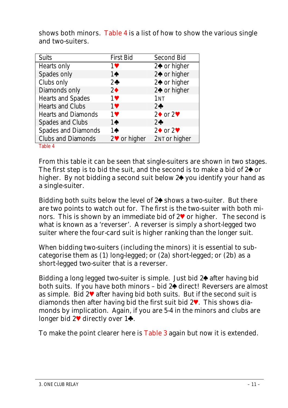| <b>Suits</b>               | <b>First Bid</b>     | Second Bid                  |
|----------------------------|----------------------|-----------------------------|
| Hearts only                | $1$ V                | $2\spadesuit$ or higher     |
| Spades only                | $1\spadesuit$        | 2♠ or higher                |
| Clubs only                 | $2$ $\bullet$        | 2♠ or higher                |
| Diamonds only              | $2\bullet$           | 2♠ or higher                |
| Hearts and Spades          | 1♥                   | 1 <sub>NT</sub>             |
| Hearts and Clubs           | 1♥                   | $2\clubsuit$                |
| <b>Hearts and Diamonds</b> | 1♥                   | $2\blacklozenge$ or $2\Psi$ |
| Spades and Clubs           | $1\spadesuit$        | $2\clubsuit$                |
| Spades and Diamonds        | 1♠                   | $2\blacklozenge$ or $2\Psi$ |
| <b>Clubs and Diamonds</b>  | $2^{\vee}$ or higher | 2NT or higher               |
| エンレー・スー                    |                      |                             |

shows both minors. Table 4 is a list of how to show the various single and two-suiters.

Table 4

From this table it can be seen that single-suiters are shown in two stages. The first step is to bid the suit, and the second is to make a bid of  $2\spadesuit$  or higher. By not bidding a second suit below 2<sup>o</sup> you identify your hand as a single-suiter.

Bidding both suits below the level of  $2\spadesuit$  shows a two-suiter. But there are two points to watch out for. The first is the two-suiter with both minors. This is shown by an immediate bid of  $2\blacktriangledown$  or higher. The second is what is known as a 'reverser'. A reverser is simply a short-legged two suiter where the four-card suit is higher ranking than the longer suit.

When bidding two-suiters (including the minors) it is essential to subcategorise them as (1) long-legged; or (2a) short-legged; or (2b) as a short-legged two-suiter that is a reverser.

Bidding a long legged two-suiter is simple. Just bid  $2\spadesuit$  after having bid both suits. If you have both minors - bid 2<sup>4</sup> direct! Reversers are almost as simple. Bid  $2\mathbf{V}$  after having bid both suits. But if the second suit is diamonds then after having bid the first suit bid  $2\mathbf{V}$ . This shows diamonds by implication. Again, if you are 5-4 in the minors and clubs are longer bid  $2^{\vee}$  directly over  $1\spadesuit$ .

To make the point clearer here is Table 3 again but now it is extended.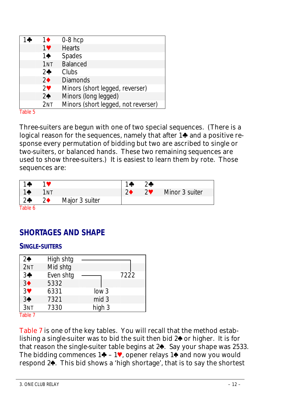| $\bullet$ | 16                    | $0-8$ hcp                           |
|-----------|-----------------------|-------------------------------------|
|           | 1♥                    | <b>Hearts</b>                       |
|           | 1♠                    | Spades                              |
|           | 1 <sub>NT</sub>       | <b>Balanced</b>                     |
|           | 2 <sub>0</sub>        | Clubs                               |
|           | 2 <sub>0</sub>        | <b>Diamonds</b>                     |
|           | $2\blacktriangledown$ | Minors (short legged, reverser)     |
|           | 2 <sub>0</sub>        | Minors (long legged)                |
|           | 2NT                   | Minors (short legged, not reverser) |

Table 5

Three-suiters are begun with one of two special sequences. (There is a logical reason for the sequences, namely that after  $1\spadesuit$  and a positive response every permutation of bidding but two are ascribed to single or two-suiters, or balanced hands. These two remaining sequences are used to show three-suiters.) It is easiest to learn them by rote. Those sequences are:

| $\blacksquare$ 14 |            |                | 1.8            | $2$ $\bullet$ |                |
|-------------------|------------|----------------|----------------|---------------|----------------|
| $1^{\bullet}$     | 1nt        |                | 2 <sub>1</sub> | $2^{\circ}$   | Minor 3 suiter |
| $2*$              | $2\bullet$ | Major 3 suiter |                |               |                |
| エントリング            |            |                |                |               |                |

Table 6

# **SHORTAGES AND SHAPE**

#### **SINGLE-SUITERS**

| 2 <sub>0</sub> | High shtg |                  |      |
|----------------|-----------|------------------|------|
| 2NT            | Mid shtg  |                  |      |
| $3*$           | Even shtg |                  | 7222 |
| 3 <sup>4</sup> | 5332      |                  |      |
| 3 <sup>4</sup> | 6331      | low <sub>3</sub> |      |
| 3 <sup>4</sup> | 7321      | mid 3            |      |
| 3NT            | 7330      | high 3           |      |
| エンレル・コー        |           |                  |      |

Table 7

Table 7 is one of the key tables. You will recall that the method establishing a single-suiter was to bid the suit then bid  $2\spadesuit$  or higher. It is for that reason the single-suiter table begins at 2<sup>4</sup>. Say your shape was 2533. The bidding commences  $1\clubsuit - 1\blacktriangledown$ , opener relays  $1\spadesuit$  and now you would respond 2<sup>4</sup>. This bid shows a 'high shortage', that is to say the shortest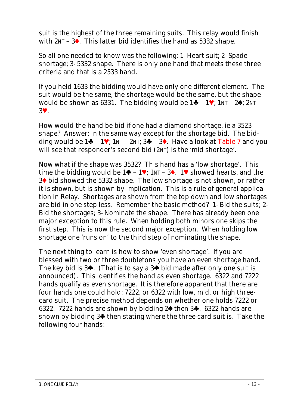suit is the highest of the three remaining suits. This relay would finish with  $2NT - 3$ . This latter bid identifies the hand as 5332 shape.

So all one needed to know was the following: 1- Heart suit; 2- Spade shortage; 3- 5332 shape. There is only one hand that meets these three criteria and that is a *2533* hand.

If you held *1633* the bidding would have only one different element. The suit would be the same, the shortage would be the same, but the shape would be shown as 6331. The bidding would be  $1\clubsuit - 1\blacktriangledown$ ;  $1NT - 2\spadesuit$ ;  $2NT -$ 3y.

How would the hand be bid if one had a diamond shortage, ie a *3523* shape? Answer: in the same way except for the shortage bid. The bidding would be  $1\clubsuit - 1\blacktriangledown$ ;  $1NT - 2NT$ ;  $3\clubsuit - 3\spadesuit$ . Have a look at Table 7 and you will see that responder's second bid (2NT) is the 'mid shortage'.

Now what if the shape was *3532*? This hand has a 'low shortage'. This time the bidding would be  $1\blacklozenge - 1\blacktriangledown$ ;  $1\blacktriangledown - 3\blacklozenge$ .  $1\blacktriangledown$  showed hearts, and the 3<sup>t</sup> bid showed the 5332 shape. The low shortage is not shown, or rather it *is shown*, but is shown by *implication*. This is a rule of general application in Relay. Shortages are shown from the top down and low shortages are bid in one step less. Remember the basic method? 1- Bid the suits; 2- Bid the shortages; 3- Nominate the shape. There has already been one major exception to this rule. When holding both minors one skips the first step. This is now the second major exception. When holding low shortage one 'runs on' to the third step of nominating the shape.

The next thing to learn is how to show 'even shortage'. If you are blessed with two or three doubletons you have an even shortage hand. The key bid is  $3\clubsuit$ . (That is to say a  $3\clubsuit$  bid made after only one suit is announced). This identifies the hand as even shortage. 6322 and 7222 hands qualify as even shortage. It is therefore apparent that there are four hands one could hold: 7222, or 6322 with low, mid, or high threecard suit. The precise method depends on whether one holds 7222 or 6322. 7222 hands are shown by bidding  $2\spadesuit$  then  $3\clubsuit$ . 6322 hands are shown by bidding  $3\spadesuit$  then stating where the three-card suit is. Take the following four hands: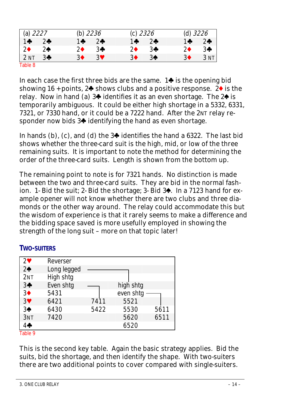| (a) $2227$      |                | (b) <i>2236</i> |       | (c) $2326$ |                | (d) 3226         |        |
|-----------------|----------------|-----------------|-------|------------|----------------|------------------|--------|
| $1 +$           | 2 <sub>0</sub> | $1 +$           | $2 +$ | $1 -$      | $2 +$          | $1 +$            | $2 +$  |
| $2\bullet$      | $2\spadesuit$  | 2♦              | 3♣    | 2♦         | 3♣             | 2♦               | 3♣     |
| 2 <sub>NT</sub> | $3+$           | 3♦              | 3♥    | 3♦         | 3 <sup>4</sup> | $3\blacklozenge$ | 3 NT I |
| Table 8         |                |                 |       |            |                |                  |        |

In each case the first three bids are the same.  $1\spadesuit$  is the opening bid showing 16 + points,  $2\blacklozenge$  shows clubs and a positive response.  $2\blacklozenge$  is the relay. Now in hand (a)  $3\blacklozenge$  identifies it as an even shortage. The  $2\blacklozenge$  is temporarily ambiguous. It could be either high shortage in a 5332, 6331, 7321, or 7330 hand, or it could be a 7222 hand. After the 2NT relay responder now bids  $3\spadesuit$  identifying the hand as even shortage.

In hands (b), (c), and (d) the  $3\clubsuit$  identifies the hand a 6322. The last bid shows whether the three-card suit is the high, mid, or low of the three remaining suits. It is important to note the method for determining the order of the three-card suits. Length is shown from the bottom up.

The remaining point to note is for 7321 hands. No distinction is made between the two and three-card suits. They are bid in the normal fashion. 1- Bid the suit; 2- Bid the shortage; 3- Bid 3<sup>\*</sup>. In a 7123 hand for example opener will not know whether there are two clubs and three diamonds or the other way around. The relay could accommodate this but the wisdom of experience is that it rarely seems to make a difference and the bidding space saved is more usefully employed in showing the strength of the long suit – more on that topic later!

#### **TWO-SUITERS**

| $2^{\circ}$    | Reverser    |      |           |      |
|----------------|-------------|------|-----------|------|
| 2 <sub>0</sub> | Long legged |      |           |      |
| 2NT            | High shtg   |      |           |      |
| $3+$           | Even shtg   |      | high shtg |      |
| 3 <sup>4</sup> | 5431        |      | even shtg |      |
| 3 <sup>4</sup> | 6421        | 7411 | 5521      |      |
| 3 <sup>4</sup> | 6430        | 5422 | 5530      | 5611 |
| 3NT            | 7420        |      | 5620      | 6511 |
| $4 \clubsuit$  |             |      | 6520      |      |
| $-11 - 2$      |             |      |           |      |

Table 9

This is the second key table. Again the basic strategy applies. Bid the suits, bid the shortage, and then identify the shape. With two-suiters there are two additional points to cover compared with single-suiters.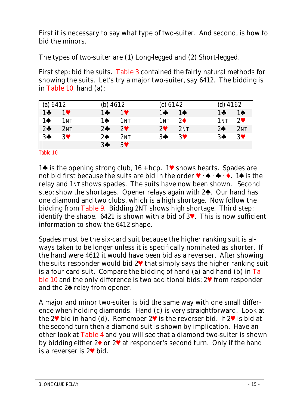First it is necessary to say what type of two-suiter. And second, is how to bid the minors.

The types of two-suiter are (1) Long-legged and (2) Short-legged.

First step: bid the suits. Table 3 contained the fairly natural methods for showing the suits. Let's try a major two-suiter, say *6412*. The bidding is in Table 10, hand (a):

| (a) $6412$     |                 | (b) $4612$     |                 | (c) 6142                   |                 | $(d)$ 4162                              |      |
|----------------|-----------------|----------------|-----------------|----------------------------|-----------------|-----------------------------------------|------|
| $1 +$          | $1$ V           | $1 +$          | $1$ V           | $1 + 1 + 1$                |                 | $1 + 1 + 1$                             |      |
| $1\spadesuit$  | 1 <sub>NT</sub> | $1 \spadesuit$ | 1 <sub>NT</sub> | 1 <sub>NT</sub> $2\bullet$ |                 | $1NT$ 2 <sup><math>\bullet</math></sup> |      |
| 2 <sub>0</sub> | 2NT             | $2 \clubsuit$  | $2^{\circ}$     | $2^{\circ}$                | 2 <sub>NT</sub> | 2 <sub>0</sub>                          | 2NT  |
| $3 +$          | $3$ V           | $2\spadesuit$  | 2 <sub>NT</sub> | $3 +$                      | 3♥              | 3♣.                                     | $-3$ |
|                |                 | 3 <sup>4</sup> | 3♥              |                            |                 |                                         |      |

Table 10

1 $\spadesuit$  is the opening strong club, 16 + hcp. 1 $\blacktriangledown$  shows hearts. Spades are not bid first because the suits are bid in the order  $\mathbf{V} \cdot \mathbf{A} \cdot \mathbf{A} \cdot \mathbf{A}$  is the relay and 1NT shows spades. The suits have now been shown. Second step: show the shortages. Opener relays again with  $2\spadesuit$ . Our hand has one diamond and two clubs, which is a high shortage. Now follow the bidding from Table 9. Bidding 2NT shows high shortage. Third step: identify the shape. 6421 is shown with a bid of  $3$ . This is now sufficient information to show the *6412* shape.

Spades must be the six-card suit because the higher ranking suit is always taken to be longer unless it is specifically nominated as shorter. If the hand were *4612* it would have been bid as a reverser. After showing the suits responder would bid  $2\mathbf{V}$  that simply says the higher ranking suit is a four-card suit. Compare the bidding of hand (a) and hand (b) in Table 10 and the only difference is two additional bids:  $2\mathbf{V}$  from responder and the  $2\spadesuit$  relay from opener.

A major and minor two-suiter is bid the same way with one small difference when holding diamonds. Hand (c) is very straightforward. Look at the 2<sup> $\blacktriangledown$ </sup> bid in hand (d). Remember 2 $\blacktriangledown$  is the reverser bid. If 2 $\blacktriangledown$  is bid at the second turn then a diamond suit is shown by implication. Have another look at Table 4 and you will see that a diamond two-suiter is shown by bidding either 2 $\bullet$  or 2 $\bullet$  at responder's second turn. Only if the hand is a reverser is  $2\Psi$  bid.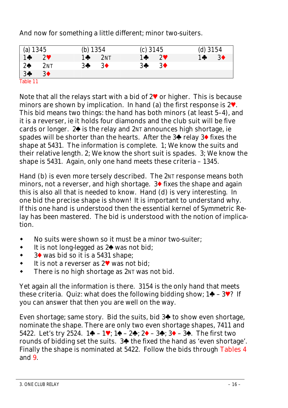And now for something a little different; minor two-suiters.

| (a) 1345<br>1 $\bullet$ 2'<br>2 <sup>4</sup> 21<br>3 <sup>4</sup> 3' |                  | (b) 1354 |                  | $(c)$ 3145 |                  |       | $(d)$ 3154     |
|----------------------------------------------------------------------|------------------|----------|------------------|------------|------------------|-------|----------------|
|                                                                      | $2^{\circ}$      | $1 +$    | 2NT              | $1 +$      | $2^{\circ}$      | $1 +$ | 3 <sup>•</sup> |
|                                                                      | 2N <sub>T</sub>  | 3♣       | $3\blacklozenge$ | $3 +$      | $3\blacklozenge$ |       |                |
|                                                                      | $3\blacklozenge$ |          |                  |            |                  |       |                |
| Table 11                                                             |                  |          |                  |            |                  |       |                |

Note that all the relays start with a bid of  $2^{\vee}$  or higher. This is because minors are shown by implication. In hand (a) the first response is  $2^{\vee}$ . This bid means two things: the hand has both minors (at least 5–4), and it is a reverser, ie it holds four diamonds and the club suit will be five cards or longer.  $2\spadesuit$  is the relay and  $2N$  announces high shortage, ie spades will be shorter than the hearts. After the  $3\blacklozenge$  relay  $3\blacklozenge$  fixes the shape at 5431. The information is complete. 1; We know the suits and their relative length. 2; We know the short suit is spades. 3; We know the shape is 5431. Again, only one hand meets these criteria – *1345*.

Hand (b) is even more tersely described. The 2NT response means both minors, not a reverser, and high shortage.  $3\blacklozenge$  fixes the shape and again this is also all that is needed to know. Hand (d) is very interesting. In one bid the precise shape is shown! It is important to understand why. If this one hand is understood then the essential kernel of Symmetric Relay has been mastered. The bid is understood with the notion of implication.

- No suits were shown so it must be a minor two-suiter;
- $\bullet$  It is not long-legged as  $2\spadesuit$  was not bid;
- $\bullet$  3 was bid so it is a 5431 shape:
- $\bullet$  It is not a reverser as 2 $\bullet$  was not bid;
- There is no high shortage as 2NT was not bid.

Yet again all the information is there. *3154* is the only hand that meets these criteria. Quiz: what does the following bidding show;  $1\clubsuit - 3\blacktriangledown$ ? If you can answer that then you are well on the way.

Even shortage; same story. Bid the suits, bid  $3\spadesuit$  to show even shortage, nominate the shape. There are only two even shortage shapes, 7411 and 5422. Let's try  $2524$ . 1 $\blacklozenge - 1\blacktriangledown$ ; 1 $\blacklozenge - 2\blacklozenge$ ; 2 $\blacklozenge - 3\blacklozenge$ ; 3 $\blacklozenge - 3\blacklozenge$ . The first two rounds of bidding set the suits. 3<sup> $\spadesuit$ </sup> the fixed the hand as 'even shortage'. Finally the shape is nominated at 5422. Follow the bids through Tables 4 and 9.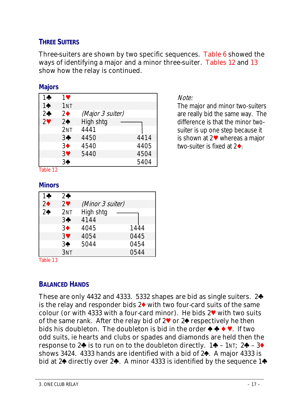### **THREE SUITERS**

Three-suiters are shown by two specific sequences. Table 6 showed the ways of identifying a major and a minor three-suiter. Tables 12 and 13 show how the relay is continued.

#### **Majors**

| 14            | 1♥              |                  |      |
|---------------|-----------------|------------------|------|
| $1\spadesuit$ | 1 <sub>NT</sub> |                  |      |
| $2+$          | 2 <sub>0</sub>  | (Major 3 suiter) |      |
| 29            | $2\spadesuit$   | High shtg        |      |
|               | 2 <sub>NT</sub> | 4441             |      |
|               | $3+$            | 4450             | 4414 |
|               | 3 <sup>•</sup>  | 4540             | 4405 |
|               | 3 <sup>4</sup>  | 5440             | 4504 |
|               | 3♠              |                  | 5404 |

Note:

The major and minor two-suiters are really bid the same way. The difference is that the minor twosuiter is up one step because it is shown at  $2\blacktriangledown$  whereas a major two-suiter is fixed at  $2\blacklozenge$ .

Table 12

#### **Minors**

| 1+             | $2$ $\bullet$   |                  |      |
|----------------|-----------------|------------------|------|
| 2 <sub>0</sub> | $2^{\circ}$     | (Minor 3 suiter) |      |
| 2 <sub>0</sub> | 2 <sub>NT</sub> | High shtg        |      |
|                | $3+$            | 4144             |      |
|                | 3♦              | 4045             | 1444 |
|                | 3♥              | 4054             | 0445 |
|                | 3♠              | 5044             | 0454 |
|                | 3NT             |                  | 0544 |

Table 13

## **BALANCED HANDS**

These are only 4432 and 4333. 5332 shapes are bid as single suiters.  $2\clubsuit$ is the relay and responder bids  $2\blacklozenge$  with two four-card suits of the same colour (or with 4333 with a four-card minor). He bids  $2\blacktriangledown$  with two suits of the same rank. After the relay bid of  $2\blacktriangledown$  or  $2\blacklozenge$  respectively he then bids his doubleton. The doubleton is bid in the order  $\triangleq \blacklozenge \blacklozenge \blacklozenge$ . If two odd suits, ie hearts and clubs or spades and diamonds are held then the response to  $2\spadesuit$  is to run on to the doubleton directly.  $1\clubsuit$  –  $1\text{N}$ ;  $2\clubsuit$  –  $3\spadesuit$ shows 3424. 4333 hands are identified with a bid of 2<sup>4</sup>. A major 4333 is bid at  $2\spadesuit$  directly over  $2\clubsuit$ . A minor 4333 is identified by the sequence  $1\clubsuit$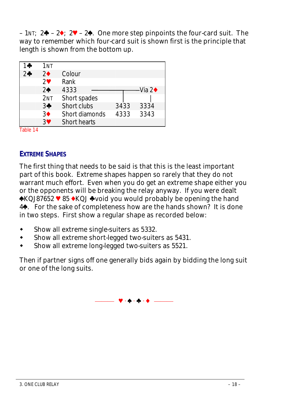<span id="page-17-0"></span>– 1NT;  $2\rightarrow -2\rightarrow 2\rightarrow -2\rightarrow$ . One more step pinpoints the four-card suit. The way to remember which four-card suit is shown first is the principle that length is shown from the bottom up.

| ∣ ⊕            | 1nt            |                     |      |         |
|----------------|----------------|---------------------|------|---------|
| 2 <sub>o</sub> | $2\bullet$     | Colour              |      |         |
|                | $\mathbf{P}$   | Rank                |      |         |
|                | 2 <sub>0</sub> | 4333                |      | ·Via 2♦ |
|                | 2NT            | Short spades        |      |         |
|                | $3+$           | Short clubs         | 3433 | 3334    |
|                | 3♦             | Short diamonds      | 4333 | 3343    |
|                | 30             | <b>Short hearts</b> |      |         |

Table 14

#### **EXTREME SHAPES**

The first thing that needs to be said is that this is the least important part of this book. Extreme shapes happen so rarely that they do not warrant much effort. Even when you do get an extreme shape either you or the opponents will be breaking the relay anyway. If you were dealt  $\triangle KQJ87652$   $\triangledown 85 \triangle KQJ \triangle v$  and you would probably be opening the hand 4z. For the sake of completeness how are the hands shown? It is done in two steps. First show a regular shape as recorded below:

- Show all extreme single-suiters as 5332.
- Show all extreme short-legged two-suiters as 5431.
- Show all extreme long-legged two-suiters as 5521.

Then if partner signs off one generally bids again by bidding the long suit or one of the long suits.

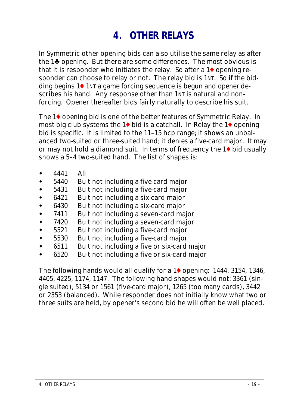# <span id="page-18-0"></span>**4. OTHER RELAYS**

In Symmetric other opening bids can also utilise the same relay as after the  $1\spadesuit$  opening. But there are some differences. The most obvious is that it is responder who initiates the relay. So after a  $1\blacklozenge$  opening responder can choose to relay or not. The relay bid is 1NT. So if the bidding begins 1<sup> $\bullet$ </sup> 1NT a game forcing sequence is begun and *opener* describes his hand. Any response other than 1NT is natural and nonforcing. Opener thereafter bids fairly naturally to describe his suit.

The  $1\blacklozenge$  opening bid is one of the better features of Symmetric Relay. In most big club systems the 1 $\blacklozenge$  bid is a catchall. In Relay the 1 $\blacklozenge$  opening bid is specific. It is limited to the 11–15 hcp range; it shows an unbalanced two-suited or three-suited hand; it denies a five-card major. It may or may not hold a diamond suit. In terms of frequency the  $1\blacklozenge$  bid usually shows a 5–4 two-suited hand. The list of shapes is:

- 4441 All
- 5440 Bu t not including a five-card major
- 5431 Bu t not including a five-card major
- 6421 Bu t not including a six-card major
- 6430 Bu t not including a six-card major
- 7411 Bu t not including a seven-card major
- 7420 Bu t not including a seven-card major
- 5521 Bu t not including a five-card major
- 5530 Bu t not including a five-card major
- 6511 Bu t not including a five or six-card major
- 6520 Bu t not including a five or six-card major

The following hands would all qualify for a 1<sup>t</sup> opening: *1444, 3154, 1346, 4405, 4225, 1174, 1147.* The following hand shapes would not: *3361* (single suited), *5134* or *1561* (five-card major), *1265* (too many cards), *3442* or *2353* (balanced). While responder does not initially know what two or three suits are held, by opener's second bid he will often be well placed.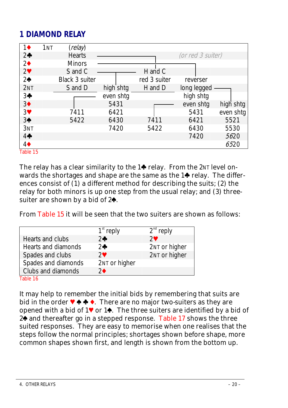# **1 DIAMOND RELAY**

| 1NT<br>$1\blacklozenge$ | (relay)        |           |              |                   |           |
|-------------------------|----------------|-----------|--------------|-------------------|-----------|
| 2 <sub>0</sub>          | <b>Hearts</b>  |           |              | (or red 3 suiter) |           |
| 2 <sup>4</sup>          | <b>Minors</b>  |           |              |                   |           |
| 2 <sup>4</sup>          | S and C        |           | H and C      |                   |           |
| 2 <sub>0</sub>          | Black 3 suiter |           | red 3 suiter | reverser          |           |
| 2NT                     | S and D        | high shtg | H and D      | long legged       |           |
| $3+$                    |                | even shtg |              | high shtg         |           |
| 3 <sup>4</sup>          |                | 5431      |              | even shtg         | high shtg |
| 3 <sup>4</sup>          | 7411           | 6421      |              | 5431              | even shtg |
| $3*$                    | 5422           | 6430      | 7411         | 6421              | 5521      |
| 3NT                     |                | 7420      | 5422         | 6430              | 5530      |
| 4                       |                |           |              | 7420              | 5620      |
| $4\blacklozenge$        |                |           |              |                   | 6520      |

Table 15

The relay has a clear similarity to the  $1\spadesuit$  relay. From the 2NT level onwards the shortages and shape are the same as the  $1\spadesuit$  relay. The differences consist of  $(1)$  a different method for describing the suits;  $(2)$  the relay for both minors is up one step from the usual relay; and (3) threesuiter are shown by a bid of  $2\spadesuit$ .

From Table 15 it will be seen that the two suiters are shown as follows:

|                     | $1st$ reply   | $2^{nd}$ reply |
|---------------------|---------------|----------------|
| Hearts and clubs    | $2$ $\bullet$ | $2^{\circ}$    |
| Hearts and diamonds | $2\clubsuit$  | 2NT or higher  |
| Spades and clubs    | $2^{\circ}$   | 2NT or higher  |
| Spades and diamonds | 2NT or higher |                |
| Clubs and diamonds  | 2♦            |                |
| Tahle 16            |               |                |

It may help to remember the initial bids by remembering that suits are bid in the order  $\blacklozenge \blacklozenge \blacklozenge$ . There are no major two-suiters as they are opened with a bid of  $1\blacklozenge$  or  $1\blacklozenge$ . The three suiters are identified by a bid of 2<sup>o</sup> and thereafter go in a stepped response. Table 17 shows the three suited responses. They are easy to memorise when one realises that the steps follow the normal principles; shortages shown before shape, more common shapes shown first, and length is shown from the bottom up.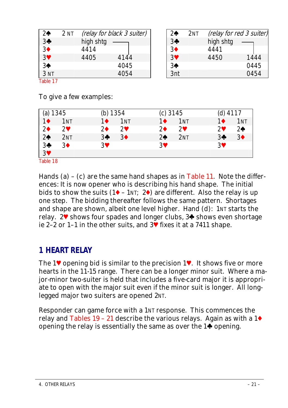| 2 <sub>2</sub>  | 2 <sub>NT</sub> |           | (relay for black 3 suiter) | 2♠             | 2 <sub>NT</sub> |           | (relay for red 3 suiter) |
|-----------------|-----------------|-----------|----------------------------|----------------|-----------------|-----------|--------------------------|
| $3*$            |                 | high shtg |                            | $3+$           |                 | high shtg |                          |
| 3 <sup>4</sup>  |                 | 4414      |                            | $3\bullet$     |                 | 4441      |                          |
| 3 <sup>4</sup>  |                 | 4405      | 4144                       | 3              |                 | 4450      | 1444                     |
| 3 <sup>4</sup>  |                 |           | 4045                       | 3 <sup>4</sup> |                 |           | 0445                     |
| 3 <sub>NT</sub> |                 |           | 4054                       | 3nt            |                 |           | 0454                     |
| Table 17        |                 |           |                            |                |                 |           |                          |

To give a few examples:

| $(a) 1345$<br>$1 \bullet 11$ |                 | (b) 1354   |                 |                | $(c)$ 3145      | $(d)$ 4117   |                 |
|------------------------------|-----------------|------------|-----------------|----------------|-----------------|--------------|-----------------|
|                              | 1 <sub>NT</sub> | 1♦         | 1 <sub>NT</sub> | $1\spadesuit$  | 1 <sub>NT</sub> | 1♦           | 1 <sub>NT</sub> |
| 2 <sup>4</sup>               | $2^{\circ}$     | $2\bullet$ | $\gamma$ v      | $2\bullet$     | $2^{\circ}$     | $\mathbf{v}$ | $2\spadesuit$   |
| $2*$                         | 2NT             | $3+$       | 3 <sup>•</sup>  | 2 <sub>•</sub> | 2 <sub>NT</sub> | $3+$         | 3 <sup>•</sup>  |
| $3*$                         | $3\bullet$      | 3♥         |                 | 3♥             |                 | 3♥           |                 |
| 3 <sup>4</sup>               |                 |            |                 |                |                 |              |                 |
| Table 18                     |                 |            |                 |                |                 |              |                 |

Hands (a) – (c) are the same hand shapes as in Table 11. Note the differences: It is now opener who is describing his hand shape. The initial bids to show the suits  $(1\blacklozenge - 1)$ <sub>T</sub>;  $2\blacklozenge$ ) are different. Also the relay is up one step. The bidding thereafter follows the same pattern. Shortages and shape are shown, albeit one level higher. Hand (d): 1NT starts the relay. 2 $\blacktriangledown$  shows four spades and longer clubs, 3 $\blacktriangledown$  shows even shortage ie 2–2 or 1–1 in the other suits, and 3y fixes it at a 7411 shape.

# **1 HEART RELAY**

The 1 $\blacktriangledown$  opening bid is similar to the precision 1 $\blacktriangledown$ . It shows five or more hearts in the 11-15 range. There can be a longer minor suit. Where a major-minor two-suiter is held that includes a five-card major it is appropriate to open with the major suit even if the minor suit is longer. All longlegged major two suiters are opened 2NT.

Responder can game force with a 1NT response. This commences the relay and Tables 19 – 21 describe the various relays. Again as with a  $1\blacklozenge$ opening the relay is essentially the same as over the  $1\spadesuit$  opening.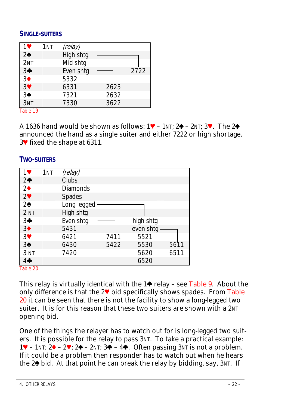#### <span id="page-21-0"></span>**SINGLE-SUITERS**

| 1♥              | 1 <sub>NT</sub> | (relay)   |      |      |
|-----------------|-----------------|-----------|------|------|
| 2 <sub>0</sub>  |                 | High shtg |      |      |
| 2N <sub>T</sub> |                 | Mid shtg  |      |      |
| $3+$            |                 | Even shtg |      | 2722 |
| 3 <sup>4</sup>  |                 | 5332      |      |      |
| 3 <sup>4</sup>  |                 | 6331      | 2623 |      |
| 3♠              |                 | 7321      | 2632 |      |
| 3NT             |                 | 7330      | 3622 |      |
| $T = L L$ , 10  |                 |           |      |      |

Table 19

A  $1636$  hand would be shown as follows:  $1\Psi - 1$ <sub>NT</sub>:  $2\blacklozenge - 2$ <sub>NT</sub>:  $3\Psi$ . The  $2\blacklozenge$ announced the hand as a single suiter and either 7222 or high shortage. 3y fixed the shape at 6311.

#### **TWO-SUITERS**

| $1$ V           | 1 <sub>NT</sub> | (relay)         |      |           |      |
|-----------------|-----------------|-----------------|------|-----------|------|
| 2 <sub>0</sub>  |                 | Clubs           |      |           |      |
| $2\bullet$      |                 | <b>Diamonds</b> |      |           |      |
| 2 <sup>4</sup>  |                 | Spades          |      |           |      |
| 2 <sub>0</sub>  |                 | Long legged     |      |           |      |
| 2 <sub>NT</sub> |                 | High shtg       |      |           |      |
| $3+$            |                 | Even shtg       |      | high shtg |      |
| 3 <sup>4</sup>  |                 | 5431            |      | even shtg |      |
| 3 <sup>4</sup>  |                 | 6421            | 7411 | 5521      |      |
| 3 <sup>4</sup>  |                 | 6430            | 5422 | 5530      | 5611 |
| 3 <sub>NT</sub> |                 | 7420            |      | 5620      | 6511 |
| 40              |                 |                 |      | 6520      |      |
| Table 20        |                 |                 |      |           |      |

This relay is virtually identical with the  $1\spadesuit$  relay – see Table 9. About the only difference is that the  $2\Psi$  bid specifically shows spades. From Table 20 it can be seen that there is not the facility to show a long-legged two suiter. It is for this reason that these two suiters are shown with a 2NT opening bid.

One of the things the relayer has to watch out for is long-legged two suiters. It is possible for the relay to pass 3NT. To take a practical example: 1V – 1NT;  $2\blacklozenge - 2\blacktriangledown$ ;  $2\blacklozenge - 2N$ T;  $3\blacklozenge - 4\blacklozenge$ . Often passing  $3N\bar{\text{I}}$  is not a problem. If it could be a problem then responder has to watch out when he hears the  $2\spadesuit$  bid. At that point he can break the relay by bidding, say,  $3NT$ . If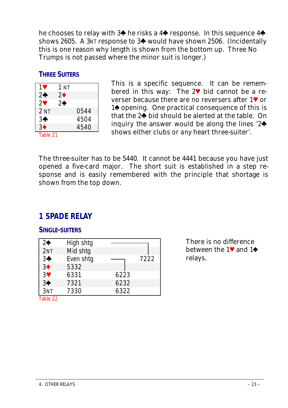<span id="page-22-0"></span>he chooses to relay with  $3\spadesuit$  he risks a  $4\spadesuit$  response. In this sequence  $4\spadesuit$ shows 2605. A 3NT response to 3<sup>\*</sup> would have shown 2506. (Incidentally this is one reason why length is shown from the bottom up. Three No Trumps is not passed where the minor suit is longer.)

### **THREE SUITERS**

| 1♥               | 1 NT |      |
|------------------|------|------|
| $2$ $\bullet$    | 2♦   |      |
| $\mathbf{P}$     | 2♠   |      |
| 2 <sub>NT</sub>  |      | 0544 |
| 3♣               |      | 4504 |
| $3\blacklozenge$ |      | 4540 |
| Table 21         |      |      |

<span id="page-22-2"></span><span id="page-22-1"></span>This is a specific sequence. It can be remembered in this way: The  $2\Psi$  bid cannot be a reverser because there are no reversers after  $1\blacktriangledown$  or 1 $\diamond$  opening. One practical consequence of this is that the  $2\clubsuit$  bid should be alerted at the table. On inquiry the answer would be along the lines  $2\spadesuit$ shows either clubs or *any* heart three-suiter'.

The three-suiter has to be 5440. It cannot be 4441 because you have just opened a five-card major. The short suit is established in a step response and is easily remembered with the principle that shortage is shown from the top down.

# **1 SPADE RELAY**

#### **SINGLE-SUITERS**

| $2\spadesuit$  | High shtg |      |      |
|----------------|-----------|------|------|
| 2NT            | Mid shtg  |      |      |
| $3+$           | Even shtg |      | 7222 |
| 3 <sup>4</sup> | 5332      |      |      |
| 3 <sup>4</sup> | 6331      | 6223 |      |
| 3 <sup>4</sup> | 7321      | 6232 |      |
| 3NT            | 7330      | 6322 |      |

There is no difference between the  $1\blacktriangledown$  and  $1\blacktriangle$ relays.

Table 22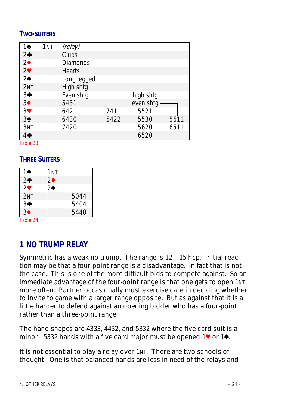## <span id="page-23-1"></span><span id="page-23-0"></span>**TWO-SUITERS**

| $1\spadesuit$  | 1 <sub>NT</sub> | (relay)         |      |           |      |
|----------------|-----------------|-----------------|------|-----------|------|
| 2 <sub>0</sub> |                 | <b>Clubs</b>    |      |           |      |
| 2 <sub>•</sub> |                 | <b>Diamonds</b> |      |           |      |
| 2 <sup>4</sup> |                 | <b>Hearts</b>   |      |           |      |
| 2 <sub>0</sub> |                 | Long legged     |      |           |      |
| 2NT            |                 | High shtg       |      |           |      |
| $3+$           |                 | Even shtg       |      | high shtg |      |
| 3 <sup>4</sup> |                 | 5431            |      | even shtg |      |
| 3 <sup>4</sup> |                 | 6421            | 7411 | 5521      |      |
| 3 <sup>4</sup> |                 | 6430            | 5422 | 5530      | 5611 |
| 3NT            |                 | 7420            |      | 5620      | 6511 |
| $4 \clubsuit$  |                 |                 |      | 6520      |      |
| Tahle 23       |                 |                 |      |           |      |

<span id="page-23-2"></span>

## **THREE SUITERS**

| 10              | 1мт |      |
|-----------------|-----|------|
| $2\clubsuit$    | 2♦  |      |
| 2♥              | 2♠  |      |
| 2 <sub>NT</sub> |     | 5044 |
| 3♣              |     | 5404 |
| 3♦              |     | 5440 |
|                 |     |      |

Table 24

# **1 NO TRUMP RELAY**

Symmetric has a weak no trump. The range is 12 – 15 hcp. Initial reaction may be that a four-point range is a disadvantage. In fact that is not the case. This is one of the more difficult bids to compete against. So an immediate advantage of the four-point range is that one gets to open 1NT more often. Partner occasionally must exercise care in deciding whether to invite to game with a larger range opposite. But as against that it is a little harder to defend against an opening bidder who has a four-point rather than a three-point range.

The hand shapes are 4333, 4432, and 5332 where the five-card suit is a minor. 5332 hands with a five card major must be opened  $1\blacktriangledown$  or  $1\blacktriangle$ .

It is not essential to play a relay over 1NT. There are two schools of thought. One is that balanced hands are less in need of the relays and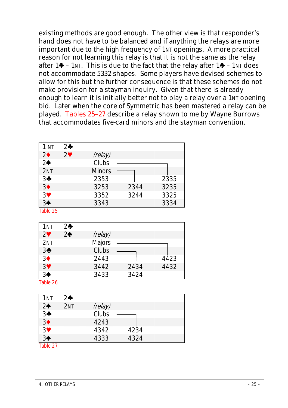existing methods are good enough. The other view is that responder's hand does not have to be balanced and if anything the relays are more important due to the high frequency of 1NT openings. A more practical reason for not learning this relay is that it is not the same as the relay after  $1 \bigarrow -1$ NT. This is due to the fact that the relay after  $1 \bigarrow -1$ NT does not accommodate 5332 shapes. Some players have devised schemes to allow for this but the further consequence is that these schemes do not make provision for a stayman inquiry. Given that there is already enough to learn it is initially better not to play a relay over a 1NT opening bid. Later when the core of Symmetric has been mastered a relay can be played. Tables 25–27 describe a relay shown to me by Wayne Burrows that accommodates five-card minors *and* the stayman convention.

| 1 <sub>NT</sub> | $2$ $\bullet$ |               |      |      |
|-----------------|---------------|---------------|------|------|
| $2\bullet$      | $2^{\circ}$   | (relay)       |      |      |
| 2 <sub>0</sub>  |               | Clubs         |      |      |
| 2NT             |               | <b>Minors</b> |      |      |
| $3+$            |               | 2353          |      | 2335 |
| 3 <sup>4</sup>  |               | 3253          | 2344 | 3235 |
| 3 <sup>4</sup>  |               | 3352          | 3244 | 3325 |
| 3 <sup>4</sup>  |               | 3343          |      | 3334 |
| Table 25        |               |               |      |      |

| 1nt             | $2$ $\bullet$  |         |      |      |
|-----------------|----------------|---------|------|------|
| $2^{\circ}$     | 2 <sub>0</sub> | (relay) |      |      |
| 2 <sub>NT</sub> |                | Majors  |      |      |
| $3+$            |                | Clubs   |      |      |
| 3 <sup>4</sup>  |                | 2443    |      | 4423 |
| 3 <sup>4</sup>  |                | 3442    | 2434 | 4432 |
| 3♠              |                | 3433    | 3424 |      |

Table 26

| 1NT            | $2\clubsuit$ |         |      |  |
|----------------|--------------|---------|------|--|
| 2 <sub>2</sub> | 2NT          | (relay) |      |  |
| 3 <sup>4</sup> |              | Clubs   |      |  |
| 3 <sup>4</sup> |              | 4243    |      |  |
| 3 <sup>4</sup> |              | 4342    | 4234 |  |
| 3 <sup>4</sup> |              | 4333    | 4324 |  |
| Table 27       |              |         |      |  |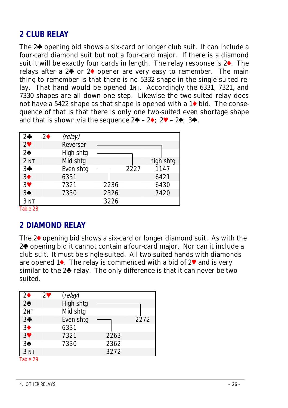## <span id="page-25-0"></span>**2 CLUB RELAY**

<span id="page-25-1"></span>The  $2\clubsuit$  opening bid shows a six-card or longer club suit. It can include a four-card diamond suit but not a four-card major. If there is a diamond suit it will be exactly four cards in length. The relay response is  $2\bullet$ . The relays after a  $2\spadesuit$  or  $2\spadesuit$  opener are very easy to remember. The main thing to remember is that there is no 5332 shape in the single suited relay. That hand would be opened 1NT. Accordingly the 6331, 7321, and 7330 shapes are all down one step. Likewise the two-suited relay does not have a 5422 shape as that shape is opened with a  $1\blacklozenge$  bid. The consequence of that is that there is only one two-suited even shortage shape and that is shown via the sequence  $2\clubsuit - 2\spadesuit$ ;  $2\heartsuit - 2\spadesuit$ ;  $3\clubsuit$ .

| $2\clubsuit$       | $2\bullet$ | (relay)   |      |      |           |
|--------------------|------------|-----------|------|------|-----------|
| $2\Psi$            |            | Reverser  |      |      |           |
| 2 <sub>0</sub>     |            | High shtg |      |      |           |
| 2 <sub>NT</sub>    |            | Mid shtg  |      |      | high shtg |
| $3+$               |            | Even shtq |      | 2227 | 1147      |
| 3 <sup>4</sup>     |            | 6331      |      |      | 6421      |
| 3 <sup>4</sup>     |            | 7321      | 2236 |      | 6430      |
| 3 <sup>4</sup>     |            | 7330      | 2326 |      | 7420      |
| 3NT                |            |           | 3226 |      |           |
| $T2$ $L1 \sim 0.0$ |            |           |      |      |           |

Table 28

## **2 DIAMOND RELAY**

The  $2\blacklozenge$  opening bid shows a six-card or longer diamond suit. As with the 2<sup>o</sup> opening bid it cannot contain a four-card major. Nor can it include a club suit. It must be single-suited. All two-suited hands with diamonds are opened 1 $\bullet$ . The relay is commenced with a bid of 2 $\bullet$  and is very similar to the  $2\spadesuit$  relay. The only difference is that it can never be two suited.

| $2\bullet$      | $2\blacktriangledown$ | (relay)   |      |      |
|-----------------|-----------------------|-----------|------|------|
| $2*$            |                       | High shtg |      |      |
| 2NT             |                       | Mid shtg  |      |      |
| 3 <sup>4</sup>  |                       | Even shtg |      | 2272 |
| 3 <sup>4</sup>  |                       | 6331      |      |      |
| 3 <sup>4</sup>  |                       | 7321      | 2263 |      |
| 3 <sup>4</sup>  |                       | 7330      | 2362 |      |
| 3 <sub>NT</sub> |                       |           | 3272 |      |
| Table 29        |                       |           |      |      |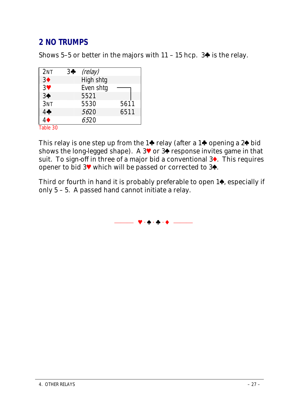# <span id="page-26-0"></span>**2 NO TRUMPS**

Shows 5–5 or better in the majors with  $11 - 15$  hcp. 3 $\spadesuit$  is the relay.

| 2N <sub>T</sub> | 3♣ | (relay)   |      |
|-----------------|----|-----------|------|
| 3 <sup>4</sup>  |    | High shtg |      |
| $3\Psi$         |    | Even shtg |      |
| 3 <sup>4</sup>  |    | 5521      |      |
| 3NT             |    | 5530      | 5611 |
| 4               |    | 5620      | 6511 |
|                 |    | 6520      |      |
| $T2$ $L1 = 20$  |    |           |      |

Table 30

This relay is one step up from the 1 $\bullet$  relay (after a 1 $\bullet$  opening a 2 $\bullet$  bid shows the long-legged shape). A 3<sup> $\bullet$ </sup> or 3 $\bullet$  response invites game in that suit. To sign-off in three of a major bid a conventional  $3\blacklozenge$ . This requires opener to bid  $3^{\circ}$  which will be passed or corrected to  $3^{\circ}$ .

Third or fourth in hand it is probably preferable to open  $1\spadesuit$ , especially if only 5 – 5. A passed hand cannot initiate a relay.

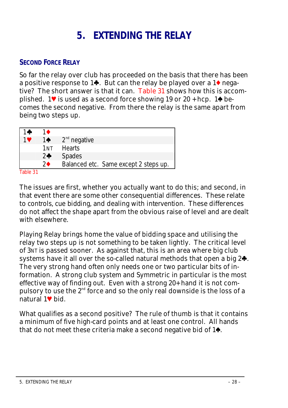# <span id="page-27-1"></span><span id="page-27-0"></span>**5. EXTENDING THE RELAY**

### **SECOND FORCE RELAY**

So far the relay over club has proceeded on the basis that there has been a positive response to 1 $\bullet$ . But can the relay be played over a 1 $\bullet$  negative? The short answer is that it can. Table 31 shows how this is accomplished. 1<sup> $\blacktriangledown$ </sup> is used as a second force showing 19 or 20 + hcp. 1 $\blacktriangle$  becomes the second negative. From there the relay is the same apart from being two steps up.

| $1\spadesuit$                | $1\spadesuit$      |                                       |
|------------------------------|--------------------|---------------------------------------|
| 10                           | $1^{\bullet}$      | $2nd$ negative                        |
|                              | 1NT                | <b>Hearts</b>                         |
|                              | $2\clubsuit$       | Spades                                |
|                              | $\partial \bullet$ | Balanced etc. Same except 2 steps up. |
| $T_0$ <sub>b</sub> $\sim$ 01 |                    |                                       |

Table 31

The issues are first, whether you actually want to do this; and second, in that event there are some other consequential differences. These relate to *controls*, *cue bidding*, and dealing with *intervention*. These differences do not affect the shape apart from the obvious raise of level and are dealt with elsewhere.

Playing Relay brings home the value of bidding space and utilising the relay two steps up is not something to be taken lightly. The critical level of 3NT is passed sooner. As against that, this is an area where big club systems have it all over the so-called natural methods that open a big  $2\spadesuit$ . The very strong hand often only needs one or two particular bits of information. A strong club system and Symmetric in particular is the most effective way of finding out. Even with a strong 20+ hand it is not compulsory to use the  $2<sup>nd</sup>$  force and so the only real downside is the loss of a natural 1y bid.

What qualifies as a second positive? The rule of thumb is that it contains a minimum of five high-card points and at least one control. All hands that do not meet these criteria make a second negative bid of  $1\spadesuit$ .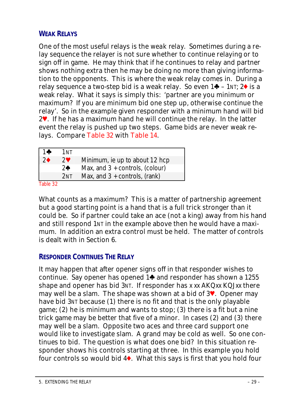### <span id="page-28-0"></span>**WEAK RELAYS**

One of the most useful relays is the *weak relay*. Sometimes during a relay sequence the relayer is not sure whether to continue relaying or to sign off in game. He may think that if he continues to relay and partner shows nothing extra then he may be doing no more than giving information to the opponents. This is where the weak relay comes in. During a relay sequence a two-step bid is a weak relay. So even  $1\blacklozenge -1$ NT;  $2\blacklozenge$  is a weak relay. What it says is simply this: 'partner are you minimum or maximum? If you are minimum bid one step up, otherwise continue the relay'. So in the example given responder with a minimum hand will bid 2y. If he has a maximum hand he will continue the relay. In the latter event the relay is pushed up two steps. Game bids are never weak relays. Compare Table 32 with Table 14.

<span id="page-28-1"></span>

| $1 +$         | 1NT             |                                   |
|---------------|-----------------|-----------------------------------|
| $\mathcal{P}$ | $2^{\circ}$     | Minimum, ie up to about 12 hcp    |
|               | $\partial$ ♠    | Max, and $3 +$ controls, (colour) |
|               | 2 <sub>NT</sub> | Max, and $3 +$ controls, (rank)   |
| $T = L L$     |                 |                                   |

Table 32

What counts as a maximum? This is a matter of partnership agreement but a good starting point is a hand that is a full trick stronger than it could be. So if partner could take an ace (not a king) away from his hand and still respond 1NT in the example above then he would have a maximum. In addition an extra control must be held. The matter of controls is dealt with in Section 6.

#### **RESPONDER CONTINUES THE RELAY**

It may happen that after opener signs off in that responder wishes to continue. Say opener has opened 1<sup>+</sup> and responder has shown a 1255 shape and opener has bid 3NT. If responder has x xx AKQxx KQJxx there may well be a slam. The shape was shown at a bid of 3y. Opener may have bid 3NT because (1) there is no fit and that is the only playable game; (2) he is minimum and wants to stop; (3) there is a fit but a nine trick game may be better that five of a minor. In cases (2) and (3) there may well be a slam. Opposite two aces and three card support one would like to investigate slam. A grand may be cold as well. So one continues to bid. The question is what does one bid? In this situation responder shows his controls starting at three. In this example you hold four controls so would bid  $4\bullet$ . What this says is first that you hold four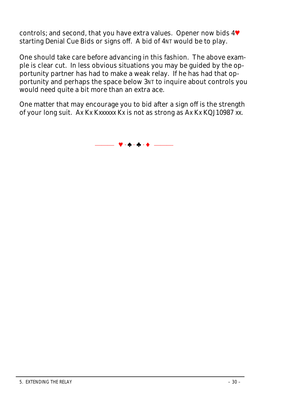controls; and second, that you have extra values. Opener now bids 4V starting Denial Cue Bids or signs off. A bid of 4NT would be to play.

One should take care before advancing in this fashion. The above example is clear cut. In less obvious situations you may be guided by the opportunity partner has had to make a weak relay. If he has had that opportunity and perhaps the space below 3NT to inquire about controls you would need quite a bit more than an extra ace.

One matter that may encourage you to bid after a sign off is the strength of your long suit. Ax Kx Kxxxxxx Kx is not as strong as Ax Kx KQJ10987 xx.

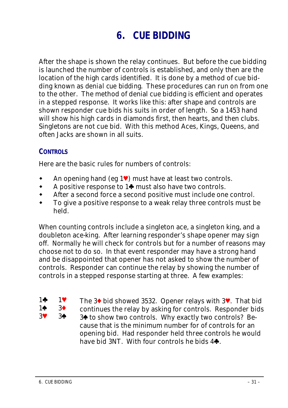# <span id="page-30-1"></span><span id="page-30-0"></span>**6. CUE BIDDING**

After the shape is shown the relay continues. But before the cue bidding is launched the number of controls is established, and only then are the location of the high cards identified. It is done by a method of cue bidding known as *denial cue bidding*. These procedures can run on from one to the other. The method of denial cue bidding is efficient and operates in a stepped response. It works like this: after shape and controls are shown responder cue bids his suits in order of length. So a *1453* hand will show his high cards in diamonds first, then hearts, and then clubs. Singletons are not cue bid. With this method Aces, Kings, Queens, and often Jacks are shown in all suits.

#### **CONTROLS**

Here are the basic rules for numbers of controls:

- $\triangle$  An opening hand (eg 1 $\vee$ ) must have at least two controls.
- A positive response to  $1\spadesuit$  must also have two controls.
- After a second force a second positive must include one control.
- To give a positive response to a weak relay three controls must be held.

When counting controls include a singleton ace, a singleton king, and a doubleton ace-king. After learning responder's shape opener may sign off. Normally he will check for controls but for a number of reasons may choose not to do so. In that event responder may have a strong hand and be disappointed that opener has not asked to show the number of controls. Responder can continue the relay by showing the number of controls in a stepped response starting at three. A few examples:

- $1 1$
- $1\spadesuit$   $3\spadesuit$  $3\bullet$  34

The 3 $\blacklozenge$  bid showed 3532. Opener relays with 3 $\blacklozenge$ . That bid continues the relay by asking for controls. Responder bids 3<sup> $\blacklozenge$ </sup> to show two controls. Why exactly two controls? Because that is the minimum number for of controls for an opening bid. Had responder held three controls he would have bid 3NT. With four controls he bids  $4\clubsuit$ .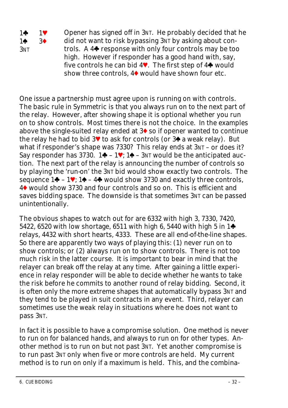1w 1y  $1\spadesuit$   $3\spadesuit$ 3NT Opener has signed off in 3NT. He probably decided that he did not want to risk bypassing 3NT by asking about controls. A  $4\spadesuit$  response with only four controls may be too high. However if responder has a good hand with, say, five controls he can bid  $4\blacktriangledown$ . The first step of  $4\blacktriangledown$  would show three controls,  $4\blacklozenge$  would have shown four etc.

One issue a partnership must agree upon is running on with controls. The basic rule in Symmetric is that you always run on to the next part of the relay. However, after showing shape it is optional whether you run on to show controls. Most times there is not the choice. In the examples above the single-suited relay ended at  $3\blacklozenge$  so if opener wanted to continue the relay he had to bid  $3\blacktriangledown$  to ask for controls (or  $3\blacklozenge$  a weak relay). But what if responder's shape was 7330? This relay ends at 3NT – or does it? Say responder has  $3730$ . 1 $\blacklozenge$  – 1 $\blacktriangledown$ : 1 $\blacklozenge$  – 3NT would be the anticipated auction. The next part of the relay is announcing the number of controls so by playing the 'run-on' the 3NT bid would show exactly two controls. The sequence  $1\clubsuit - 1\blacktriangledown$ ;  $1\spadesuit - 4\clubsuit$  would show 3730 and exactly three controls, 4x would show *3730* and four controls and so on. This is efficient and saves bidding space. The downside is that sometimes 3NT can be passed unintentionally.

The obvious shapes to watch out for are 6332 with high 3, 7330, 7420, 5422, 6520 with low shortage, 6511 with high 6, 5440 with high 5 in  $1\spadesuit$ relays, 4432 with short hearts, 4333. These are all end-of-the-line shapes. So there are apparently two ways of playing this: (1) never run on to show controls; or (2) always run on to show controls. There is not too much risk in the latter course. It is important to bear in mind that the relayer can break off the relay at any time. After gaining a little experience in relay responder will be able to decide whether he wants to take the risk before he commits to another round of relay bidding. Second, it is often only the more extreme shapes that automatically bypass 3NT and they tend to be played in suit contracts in any event. Third, relayer can sometimes use the *weak relay* in situations where he does not want to pass 3NT.

In fact it is possible to have a compromise solution. One method is never to run on for balanced hands, and always to run on for other types. Another method is to run on but not past 3NT. Yet another compromise is to run past 3NT only when five or more controls are held. My current method is to run on only if a maximum is held. This, and the combina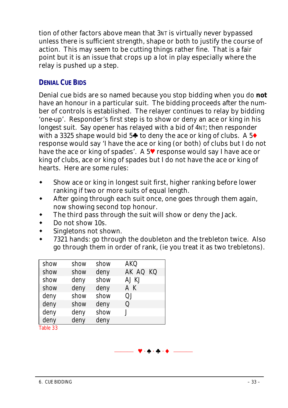<span id="page-32-0"></span>tion of other factors above mean that 3NT is virtually never bypassed unless there is sufficient strength, shape or both to justify the course of action. This may seem to be cutting things rather fine. That is a fair point but it is an issue that crops up a lot in play especially where the relay is pushed up a step.

## **DENIAL CUE BIDS**

Denial cue bids are so named because you stop bidding when you do **not** have an honour in a particular suit. The bidding proceeds after the number of controls is established. The relayer continues to relay by bidding 'one-up'. Responder's first step is to show or deny an ace or king in his longest suit. Say opener has relayed with a bid of 4NT; then responder with a 3325 shape would bid 5 $\blacklozenge$  to deny the ace or king of clubs. A 5 $\blacklozenge$ response would say 'I have the ace or king (or both) of clubs but I do not have the ace or king of spades'. A  $5\blacktriangledown$  response would say I have ace or king of clubs, ace or king of spades but I do not have the ace or king of hearts. Here are some rules:

- Show ace or king in longest suit first, higher ranking before lower ranking if two or more suits of equal length.
- After going through each suit once, one goes through them again, now showing second top honour.
- The third pass through the suit will show or deny the Jack.
- Do not show 10s.
- Singletons not shown.
- 7321 hands: go through the doubleton and the trebleton twice. Also go through them in order of rank, (ie you treat it as two trebletons).

 $\Psi \cdot \Phi \cdot \Phi \cdot \Phi$ 

| show                 | show | show | AKO      |
|----------------------|------|------|----------|
| show                 | show | deny | AK AQ KQ |
| show                 | deny | show | aj kj    |
| show                 | deny | deny | ΑK       |
| deny                 | show | show | ΩI       |
| deny                 | show | deny | O        |
| deny                 | deny | show |          |
| deny<br>$T + 1 - 00$ | deny | deny |          |

Table 33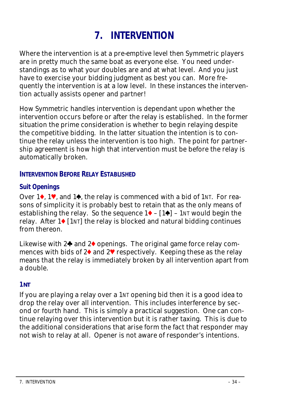# <span id="page-33-1"></span><span id="page-33-0"></span>**7. INTERVENTION**

Where the intervention is at a pre-emptive level then Symmetric players are in pretty much the same boat as everyone else. You need understandings as to what your doubles are and at what level. And you just have to exercise your bidding judgment as best you can. More frequently the intervention is at a low level. In these instances the intervention actually assists opener and partner!

How Symmetric handles intervention is dependant upon whether the intervention occurs before or after the relay is established. In the former situation the prime consideration is whether to begin relaying despite the competitive bidding. In the latter situation the intention is to continue the relay unless the intervention is too high. The point for partnership agreement is how high that intervention must be before the relay is automatically broken.

#### **INTERVENTION BEFORE RELAY ESTABLISHED**

#### **Suit Openings**

Over  $1\bullet$ , 1<sup> $\bullet$ </sup>, and  $1\bullet$ , the relay is commenced with a bid of 1NT. For reasons of simplicity it is probably best to retain that as the only means of establishing the relay. So the sequence  $1\blacklozenge - [1\blacklozenge] - 1$ NT would begin the relay. After  $1\bullet$  [1NT] the relay is blocked and natural bidding continues from thereon.

Likewise with  $2\spadesuit$  and  $2\spadesuit$  openings. The original game force relay commences with bids of  $2\blacklozenge$  and  $2\nblacktriangledown$  respectively. Keeping these as the relay means that the relay is immediately broken by all intervention apart from a double.

#### **1NT**

If you are playing a relay over a 1NT opening bid then it is a good idea to drop the relay over all intervention. This includes interference by second or fourth hand. This is simply a practical suggestion. One can continue relaying over this intervention but it is rather taxing. This is due to the additional considerations that arise form the fact that responder may not wish to relay at all. Opener is not aware of responder's intentions.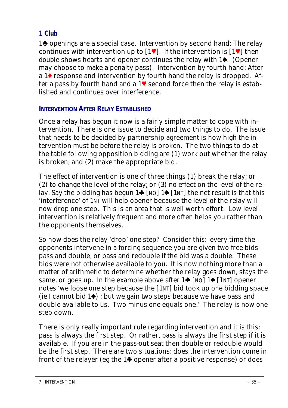## <span id="page-34-0"></span>**1 Club**

1<sup>t</sup> openings are a special case. Intervention by second hand: The relay continues with intervention up to  $[1^{\vee}]$ . If the intervention is  $[1^{\vee}]$  then *double* shows hearts and opener continues the relay with 1<sup>4</sup>. (Opener may choose to make a penalty pass). Intervention by fourth hand: After a  $1\blacklozenge$  response and intervention by fourth hand the relay is dropped. After a pass by fourth hand and a  $1\blacktriangledown$  second force then the relay is established and continues over interference.

## **INTERVENTION AFTER RELAY ESTABLISHED**

Once a relay has begun it now is a fairly simple matter to cope with intervention. There is one issue to decide and two things to do. The issue that needs to be decided by partnership agreement is how high the intervention must be before the relay is broken. The two things to do at the table following opposition bidding are (1) work out whether the relay is broken; and (2) make the appropriate bid.

The effect of intervention is one of three things (1) break the relay; or (2) to change the level of the relay; or (3) no effect on the level of the relay. Say the bidding has begun  $1\spadesuit$  [NO]  $1\spadesuit$  [1NT] the net result is that this 'interference' of 1NT will help opener because the level of the relay will now drop one step. This is an area that is well worth effort. Low level intervention is relatively frequent and more often helps you rather than the opponents themselves.

So how does the relay 'drop' one step? Consider this: every time the opponents intervene in a forcing sequence you are given two free bids – pass and double, or pass and redouble if the bid was a double. These bids were not otherwise available to you. It is now nothing more than a matter of arithmetic to determine whether the relay goes down, stays the same, or goes up. In the example above after  $1\spadesuit$  [NO]  $1\spadesuit$  [1NT] opener notes 'we loose *one* step because the [1NT] bid took up *one* bidding space (ie I cannot bid 1<sup>o</sup>); but we gain *two* steps because we have pass and double available to us. Two minus one equals one.' The relay is now one step down.

There is only really important rule regarding intervention and it is this: *pass* is always the first step. Or rather, *pass* is always the first step if it is available. If you are in the pass-out seat then double or redouble would be the first step. There are two situations: does the intervention come in front of the relayer (eg the  $1\spadesuit$  opener after a positive response) or does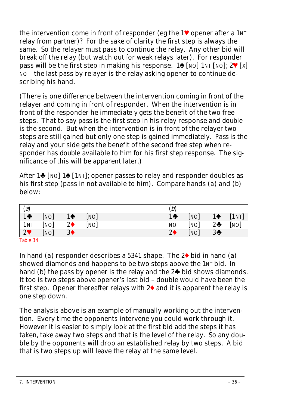the intervention come in front of responder (eg the  $1\blacktriangledown$  opener after a 1NT relay from partner)? For the sake of clarity the first step is always the same. So the *relayer* must pass to continue the relay. Any other bid will break off the relay (but watch out for weak relays later). For responder pass will be the first step in making his response.  $1\spadesuit$  [NO] 1NT [NO];  $2\spadesuit$  [X] NO – the last pass by relayer is the relay asking opener to continue describing his hand.

(There is one difference between the intervention coming in front of the relayer and coming in front of responder. When the intervention is in front of the responder he *immediately* gets the benefit of the two free steps. That to say *pass* is the first step in his relay response and *double* is the second. But when the intervention is in front of the relayer two steps are still gained but only one step is gained immediately. *Pass* is the relay and your side gets the benefit of the second free step when responder has *double* available to him for his first step response. The significance of this will be apparent later.)

After  $1\spadesuit$  [NO]  $1\spadesuit$  [1NT]; opener *passes* to relay and responder doubles as his first step (pass in not available to him). Compare hands (*a*) and (*b*) below:

| (a)         |      |                |      | (b)        |      |                |       |
|-------------|------|----------------|------|------------|------|----------------|-------|
| $1 +$       | [NO] | 1♠             | [NO] | $1 +$      | [NO] | $1 \spadesuit$ | [1NT] |
| 1NT         | [NO] | $2\bullet$     | [NO] | <b>NO</b>  | [NO] | $2\clubsuit$   | [NO]  |
| $2^{\circ}$ | [NO] | 3 <sub>•</sub> |      | $2\bullet$ | [NO] | $3+$           |       |
| Table 24    |      |                |      |            |      |                |       |

Table 34

In hand (*a*) responder describes a  $5341$  shape. The  $2\blacklozenge$  bid in hand (*a*) showed diamonds and happens to be two steps above the 1NT bid. In hand (*b*) the pass by opener is the relay and the  $2\spadesuit$  bid shows diamonds. It too is two steps above opener's last bid – double would have been the first step. Opener thereafter relays with  $2\blacklozenge$  and it is apparent the relay is one step down.

The analysis above is an example of manually working out the intervention. Every time the opponents intervene you could work through it. However it is easier to simply look at the first bid add the steps it has taken, take away two steps and that is the level of the relay. So any double by the opponents will drop an established relay by two steps. A bid that is two steps up will leave the relay at the same level.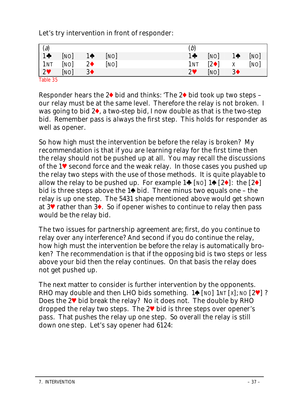Let's try intervention in front of responder:

|                                         |      |                |      | (b)        |                         |                |      |
|-----------------------------------------|------|----------------|------|------------|-------------------------|----------------|------|
| $\begin{array}{c} (a) \\ 1 \end{array}$ | [NO] | $1 \spadesuit$ | [NO] | $1 +$      | [NO]                    | $1 \spadesuit$ | [NO] |
| 1NT                                     | [NO] | $2\bullet$     | [NO] | 1NT        | $\left 2\bullet\right $ | Χ              | [NO] |
| $2^{\circ}$                             | [NO] | 3 <sub>•</sub> |      | $2^{\vee}$ | [NO]                    | 3 <sub>1</sub> |      |
| Table 35                                |      |                |      |            |                         |                |      |

Responder hears the  $2\blacklozenge$  bid and thinks: 'The  $2\blacklozenge$  bid took up two steps – our relay must be at the same level. Therefore the relay is not broken. I was going to bid  $2\bullet$ , a two-step bid, I now double as that is the two-step bid. Remember pass is *always* the first step. This holds for responder as well as opener.

So how high must the intervention be before the relay is broken? My recommendation is that if you are learning relay for the first time then the relay should not be pushed up at all. You may recall the discussions of the  $1\blacktriangledown$  second force and the weak relay. In those cases you pushed up the relay two steps with the use of those methods. It is quite playable to allow the relay to be pushed up. For example  $1\spadesuit$  [NO]  $1\spadesuit$  [2 $\spadesuit$ ]: the [2 $\spadesuit$ ] bid is three steps above the  $1\spadesuit$  bid. Three minus two equals one – the relay is up one step. The 5431 shape mentioned above would get shown at 3y rather than 3x. So if opener wishes to continue to relay then *pass* would be the relay bid.

The two issues for partnership agreement are; first, do you continue to relay over *any* interference? And second if you do continue the relay, how high must the intervention be before the relay is automatically broken? The recommendation is that if the opposing bid is two steps or less above your bid then the relay continues. On that basis the relay does not get pushed up.

The next matter to consider is further intervention by the opponents. RHO may double and then LHO bids something. 1 $\bullet$  [NO] 1NT [X]; NO [2 $\blacktriangledown$ ]? Does the 2<sup> $\blacktriangledown$ </sup> bid break the relay? No it does not. The double by RHO dropped the relay two steps. The  $2\blacktriangledown$  bid is three steps over opener's pass. That pushes the relay up one step. So overall the relay is still down one step. Let's say opener had *6124*: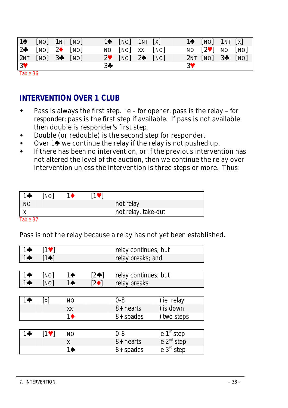<span id="page-37-0"></span>

|                | $1 \spadesuit$ $[NO]$ $1 \text{NT}$ $[NO]$ |  |                | $1 \spadesuit$ [NO] 1NT [X] |      |    | $1 \spadesuit$ [NO] 1NT [X]          |  |
|----------------|--------------------------------------------|--|----------------|-----------------------------|------|----|--------------------------------------|--|
|                | $2\bullet$ [NO] $2\bullet$ [NO]            |  |                | NO [NO] XX [NO]             |      |    | NO $[2\blacktriangledown]$ NO $[NO]$ |  |
|                | $2NT$ $[NO]$ $3\clubsuit$ $[NO]$           |  |                | $2$ [NO] $2$                | [NO] |    | $2NT [NO]$ 3 <sup>4</sup> $[NO]$     |  |
| 3 <sup>4</sup> |                                            |  | 3 <sub>0</sub> |                             |      | 3V |                                      |  |

Table 36

## **INTERVENTION OVER 1 CLUB**

- Pass is always the first step. ie *for opener*: pass is the relay *for responder*: pass is the first step if available. If pass is not available then double is responder's first step.
- Double (or redouble) is the second step for responder.
- Over  $1\spadesuit$  we continue the relay if the relay is not pushed up.
- If there has been no intervention, or if the previous intervention has not altered the level of the auction, then we continue the relay over intervention unless the intervention is three steps or more. Thus:

| 1♣        | [NO] | 11 | <b>191</b> |                     |
|-----------|------|----|------------|---------------------|
| <b>NO</b> |      |    |            | not relay           |
|           |      |    |            | not relay, take-out |

Table 37

#### Pass is not the relay because a relay has not yet been established.

| 1♣    | $[1$ V |                  |                | relay continues; but |                         |
|-------|--------|------------------|----------------|----------------------|-------------------------|
| $1 +$ | [1♠]   |                  |                | relay breaks; and    |                         |
|       |        |                  |                |                      |                         |
| 1♣    | [NO]   | 1♠               | $[2\clubsuit]$ | relay continues; but |                         |
| $1 +$ | [NO]   | 10               | $[2\bullet]$   | relay breaks         |                         |
|       |        |                  |                |                      |                         |
| 14    | [x]    | <b>NO</b>        |                | $0 - 8$              | ) ie relay              |
|       |        | XX               |                | 8+ hearts            | ) is down               |
|       |        | $1\blacklozenge$ |                | 8+ spades            | ) two steps             |
|       |        |                  |                |                      |                         |
| 1♣    | $[1$ V | <b>NO</b>        |                | 0-8                  | ie 1 <sup>st</sup> step |
|       |        | x                |                | 8+ hearts            | ie $2^{nd}$ step        |
|       |        | 1♠               |                | 8+ spades            | ie 3 <sup>rd</sup> step |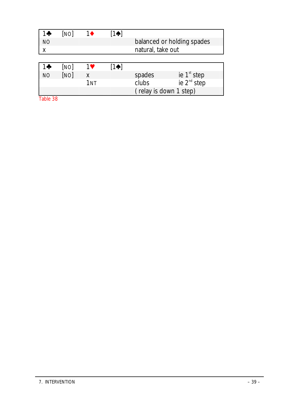| 1÷        | [NO] | 1♦              | [1♠]           |                   |                            |
|-----------|------|-----------------|----------------|-------------------|----------------------------|
| <b>NO</b> |      |                 |                |                   | balanced or holding spades |
| X         |      |                 |                | natural, take out |                            |
|           |      |                 |                |                   |                            |
|           |      |                 |                |                   |                            |
| 10        | [NO] | 1V              | $1 \spadesuit$ |                   |                            |
| <b>NO</b> | [NO] | x               |                | spades            | ie 1 <sup>st</sup> step    |
|           |      | 1 <sub>NT</sub> |                | clubs             | ie 2 <sup>nd</sup> step    |

Table 38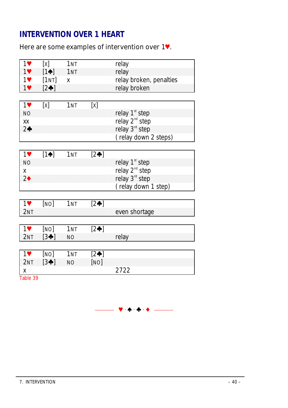# <span id="page-39-0"></span>**INTERVENTION OVER 1 HEART**

## Here are some examples of intervention over  $1$ .

| 1♥              | [x]             | 1 <sub>NT</sub> |                | relay                      |
|-----------------|-----------------|-----------------|----------------|----------------------------|
| 1               | $[1\spadesuit]$ | 1 <sub>NT</sub> |                | relay                      |
| $1$ V           | $[1NT]$ $x$     |                 |                | relay broken, penalties    |
| 1               | $[2\clubsuit]$  |                 |                | relay broken               |
|                 |                 |                 |                |                            |
| 1               | [x]             | 1 <sub>NT</sub> | [x]            |                            |
| <b>NO</b>       |                 |                 |                | relay 1 <sup>st</sup> step |
| XX              |                 |                 |                | relay 2 <sup>nd</sup> step |
| $2 +$           |                 |                 |                | relay 3rd step             |
|                 |                 |                 |                | (relay down 2 steps)       |
|                 |                 |                 |                |                            |
| 1               | $[1\spadesuit]$ | 1NT             | $[2\clubsuit]$ |                            |
| <b>NO</b>       |                 |                 |                | relay 1 <sup>st</sup> step |
| X               |                 |                 |                | relay 2 <sup>nd</sup> step |
| $2\spadesuit$   |                 |                 |                | relay 3 <sup>rd</sup> step |
|                 |                 |                 |                | (relay down 1 step)        |
|                 |                 |                 |                |                            |
| 1               | [NO]            | 1 <sub>NT</sub> | $[2\clubsuit]$ |                            |
| 2NT             |                 |                 |                | even shortage              |
|                 |                 |                 |                |                            |
| $1$ V           | [NO]            | 1 <sub>NT</sub> | $[2\clubsuit]$ |                            |
| 2NT             | $[3 \bigstar]$  | <b>NO</b>       |                | relay                      |
|                 |                 |                 |                |                            |
| 1               | [NO]            | 1 <sub>NT</sub> | $[2\clubsuit]$ |                            |
| 2 <sub>NT</sub> | $[3 \bigstar]$  | <b>NO</b>       | [NO]           |                            |
| X               |                 |                 |                | 2722                       |
| Table 39        |                 |                 |                |                            |

⎯⎯⎯ y · z · w · x ⎯⎯⎯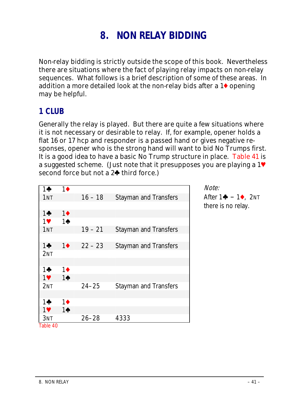# **8. NON RELAY BIDDING**

Non-relay bidding is strictly outside the scope of this book. Nevertheless there are situations where the fact of playing relay impacts on non-relay sequences. What follows is a brief description of some of these areas. In addition a more detailed look at the non-relay bids after a  $1\blacklozenge$  opening may be helpful.

## **1 CLUB**

Generally the relay is played. But there are quite a few situations where it is not necessary or desirable to relay. If, for example, opener holds a flat 16 or 17 hcp and responder is a passed hand or gives negative responses, opener who is the strong hand will want to bid No Trumps first. It is a good idea to have a basic No Trump structure in place. Table 41 is a suggested scheme. (Just note that it presupposes you are playing a  $1\blacktriangledown$ second force but not a  $2\spadesuit$  third force.)

|                 |                  |           |                              | Note. |
|-----------------|------------------|-----------|------------------------------|-------|
| 1♣              | $1\blacklozenge$ |           |                              |       |
| 1 <sub>NT</sub> |                  | $16 - 18$ | <b>Stayman and Transfers</b> | After |
|                 |                  |           |                              | there |
| $1\clubsuit$    | $1\blacklozenge$ |           |                              |       |
| 1♥              | $1\spadesuit$    |           |                              |       |
| 1 <sub>NT</sub> |                  | $19 - 21$ | <b>Stayman and Transfers</b> |       |
|                 |                  |           |                              |       |
| 1♣              | $1^{\bullet}$    | $22 - 23$ | <b>Stayman and Transfers</b> |       |
| 2NT             |                  |           |                              |       |
|                 |                  |           |                              |       |
| 1÷              | $1\blacklozenge$ |           |                              |       |
| $1$ V           | $1\spadesuit$    |           |                              |       |
| 2 <sub>NT</sub> |                  | $24 - 25$ | <b>Stayman and Transfers</b> |       |
|                 |                  |           |                              |       |
| 10              | $1\blacklozenge$ |           |                              |       |
| 1♥              | $1\spadesuit$    |           |                              |       |
| 3NT             |                  | $26 - 28$ | 4333                         |       |
| Table 40        |                  |           |                              |       |

Note:

 $1\clubsuit - 1\spadesuit$  2NT is no relay.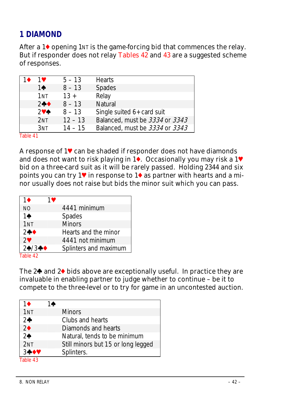# **1 DIAMOND**

After a  $1\blacklozenge$  opening  $1\text{N}$  is the game-forcing bid that commences the relay. But if responder does not relay Tables 42 and 43 are a suggested scheme of responses.

|          | 1♥                 | $5 - 13$  | <b>Hearts</b>                  |
|----------|--------------------|-----------|--------------------------------|
|          | 10                 | $8 - 13$  | Spades                         |
|          | 1 <sub>NT</sub>    | $13 +$    | Relay                          |
|          | $2 + 4$            | $8 - 13$  | Natural                        |
|          | $2$ V $\spadesuit$ | $8 - 13$  | Single suited 6+ card suit     |
|          | 2NT                | $12 - 13$ | Balanced, must be 3334 or 3343 |
|          | $3N$ T             | $14 - 15$ | Balanced, must be 3334 or 3343 |
| Table 41 |                    |           |                                |

A response of  $1\blacktriangledown$  can be shaded if responder does not have diamonds and does not want to risk playing in  $1\overline{\bullet}$ . Occasionally you may risk a 1 $\overline{\bullet}$ bid on a three-card suit as it will be rarely passed. Holding *2344* and six points you can try 1 $\blacktriangledown$  in response to 1 $\blacklozenge$  as partner with hearts and a minor usually does not raise but bids the minor suit which you can pass.

| 1♦              | 1♥ |                       |
|-----------------|----|-----------------------|
| <b>NO</b>       |    | 4441 minimum          |
| $1\spadesuit$   |    | Spades                |
| 1 <sub>NT</sub> |    | <b>Minors</b>         |
| $2 + 4$         |    | Hearts and the minor  |
| $2^{\circ}$     |    | 4441 not minimum      |
| $24/3 + 4$      |    | Splinters and maximum |
| Table 42        |    |                       |

The  $2\spadesuit$  and  $2\spadesuit$  bids above are exceptionally useful. In practice they are invaluable in enabling partner to judge whether to continue – be it to compete to the three-level or to try for game in an uncontested auction.

| 14                                 |
|------------------------------------|
| <b>Minors</b>                      |
| Clubs and hearts                   |
| Diamonds and hearts                |
| Natural, tends to be minimum       |
| Still minors but 15 or long legged |
| Splinters.                         |
|                                    |

Table 43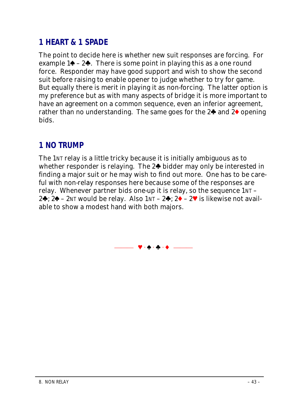# **1 HEART & 1 SPADE**

The point to decide here is whether new suit responses are forcing. For example  $1\spadesuit - 2\clubsuit$ . There is some point in playing this as a one round force. Responder may have good support and wish to show the second suit before raising to enable opener to judge whether to try for game. But equally there is merit in playing it as non-forcing. The latter option is my preference but as with many aspects of bridge it is more important to have an agreement on a common sequence, even an inferior agreement, rather than no understanding. The same goes for the  $2\spadesuit$  and  $2\spadesuit$  opening bids.

# **1 NO TRUMP**

The 1NT relay is a little tricky because it is initially ambiguous as to whether responder is relaying. The  $2\spadesuit$  bidder may only be interested in finding a major suit or he may wish to find out more. One has to be careful with non-relay responses here because some of the responses are relay. Whenever partner bids one-up it is relay, so the sequence 1NT – 2 $\clubsuit$ ; 2 $\spadesuit$  – 2NT would be relay. Also 1NT – 2 $\clubsuit$ ; 2 $\spadesuit$  – 2 $\blacktriangledown$  is likewise not available to show a modest hand with both majors.

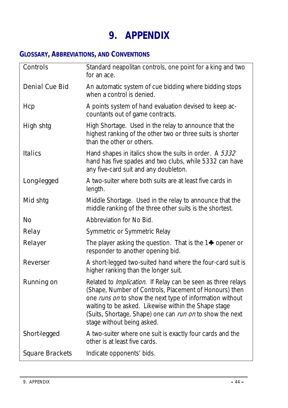# **9. APPENDIX**

# **GLOSSARY, ABBREVIATIONS, AND CONVENTIONS**

| <b>Controls</b>        | Standard neapolitan controls, one point for a king and two<br>for an ace.                                                                                                                                                                                                                                                                   |
|------------------------|---------------------------------------------------------------------------------------------------------------------------------------------------------------------------------------------------------------------------------------------------------------------------------------------------------------------------------------------|
| <b>Denial Cue Bid</b>  | An automatic system of cue bidding where bidding stops<br>when a control is denied.                                                                                                                                                                                                                                                         |
| <b>Hcp</b>             | A points system of hand evaluation devised to keep ac-<br>countants out of game contracts.                                                                                                                                                                                                                                                  |
| High shtg              | High Shortage. Used in the relay to announce that the<br>highest ranking of the other two or three suits is shorter<br>than the other or others.                                                                                                                                                                                            |
| <b>Italics</b>         | Hand shapes in italics show the suits in order. A 5332<br>hand has five spades and two clubs, while 5332 can have<br>any five-card suit and any doubleton.                                                                                                                                                                                  |
| Long-legged            | A two-suiter where both suits are at least five cards in<br>length.                                                                                                                                                                                                                                                                         |
| Mid shtg               | Middle Shortage. Used in the relay to announce that the<br>middle ranking of the three other suits is the shortest.                                                                                                                                                                                                                         |
| No                     | Abbreviation for No Bid.                                                                                                                                                                                                                                                                                                                    |
| Relay                  | Symmetric or Symmetric Relay                                                                                                                                                                                                                                                                                                                |
| Relayer                | The player asking the question. That is the $1\clubsuit$ opener or<br>responder to another opening bid.                                                                                                                                                                                                                                     |
| Reverser               | A short-legged two-suited hand where the four-card suit is<br>higher ranking than the longer suit.                                                                                                                                                                                                                                          |
| <b>Running on</b>      | Related to Implication. If Relay can be seen as three relays<br>(Shape, Number of Controls, Placement of Honours) then<br>one <i>runs on</i> to show the next type of information without<br>waiting to be asked. Likewise within the Shape stage<br>(Suits, Shortage, Shape) one can run on to show the next<br>stage without being asked. |
| Short-legged           | A two-suiter where one suit is exactly four cards and the<br>other is at least five cards.                                                                                                                                                                                                                                                  |
| <b>Square Brackets</b> | Indicate opponents' bids.                                                                                                                                                                                                                                                                                                                   |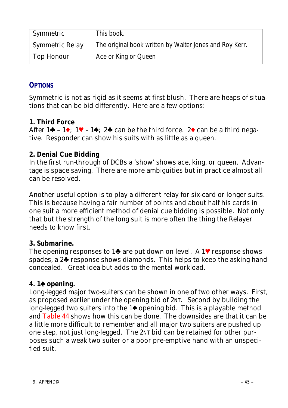| Symmetric              | This book.                                              |
|------------------------|---------------------------------------------------------|
| <i>Symmetric Relay</i> | The original book written by Walter Jones and Roy Kerr. |
| <b>Top Honour</b>      | Ace or King or Queen                                    |

### **OPTIONS**

Symmetric is not as rigid as it seems at first blush. There are heaps of situations that can be bid differently. Here are a few options:

### **1. Third Force**

After  $1\clubsuit - 1\spadesuit$ :  $1\heartsuit - 1\spadesuit$ :  $2\clubsuit$  can be the third force.  $2\spadesuit$  can be a third negative. Responder can show his suits with as little as a queen.

### **2. Denial Cue Bidding**

In the first run-through of DCBs a 'show' shows ace, king, or queen. Advantage is space saving. There are more ambiguities but in practice almost all can be resolved.

Another useful option is to play a different relay for six-card or longer suits. This is because having a fair number of points and about half his cards in one suit a more efficient method of denial cue bidding is possible. Not only that but the strength of the long suit is more often the thing the Relayer needs to know first.

#### **3. Submarine.**

The opening responses to 1 $\blacklozenge$  are put down on level. A 1 $\blacktriangledown$  response shows spades, a  $2\spadesuit$  response shows diamonds. This helps to keep the asking hand concealed. Great idea but adds to the mental workload.

## **4. 1**z **opening.**

Long-legged major two-suiters can be shown in one of two other ways. First, as proposed earlier under the opening bid of 2NT. Second by building the long-legged two suiters into the  $1\spadesuit$  opening bid. This is a playable method and Table 44 shows how this can be done. The downsides are that it can be a little more difficult to remember and *all* major two suiters are pushed up one step, not just long-legged. The 2NT bid can be retained for other purposes such a weak two suiter or a poor pre-emptive hand with an unspecified suit.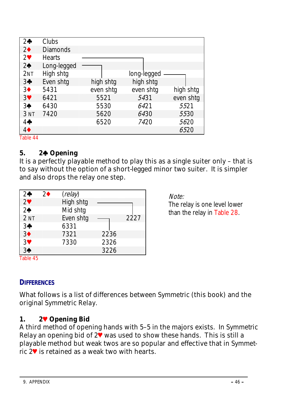|                  | Clubs           |           |             |           |
|------------------|-----------------|-----------|-------------|-----------|
| $2 +$            |                 |           |             |           |
| 2 <sub>•</sub>   | <b>Diamonds</b> |           |             |           |
| $2^{\vee}$       | <b>Hearts</b>   |           |             |           |
| 2 <sub>0</sub>   | Long-legged     |           |             |           |
| 2NT              | High shtg       |           | long-legged |           |
| $3+$             | Even shtg       | high shtg | high shtg   |           |
| 3 <sup>•</sup>   | 5431            | even shtg | even shtg   | high shtg |
| 3 <sup>4</sup>   | 6421            | 5521      | 5431        | even shtg |
| 3 <sup>4</sup>   | 6430            | 5530      | 6421        | 5521      |
| 3 <sub>NT</sub>  | 7420            | 5620      | 6430        | 5530      |
| 4                |                 | 6520      | 7420        | 5620      |
| $4\blacklozenge$ |                 |           |             | 6520      |
| Table 44         |                 |           |             |           |

#### **5. 2**w **Opening**

It is a perfectly playable method to play this as a single suiter only – that is to say without the option of a short-legged minor two suiter. It is simpler and also drops the relay one step.

| $2\clubsuit$    | 2♦ | (relay)   |      |      |
|-----------------|----|-----------|------|------|
| 2 <sup>4</sup>  |    | High shtg |      |      |
| 2 <sub>0</sub>  |    | Mid shtg  |      |      |
| 2 <sub>NT</sub> |    | Even shtg |      | 2227 |
| $3+$            |    | 6331      |      |      |
| 3 <sup>4</sup>  |    | 7321      | 2236 |      |
| 3 <sup>4</sup>  |    | 7330      | 2326 |      |
| 3 <sup>4</sup>  |    |           | 3226 |      |

Note:

The relay is one level lower than the relay in Table 28.

Table 45

## **DIFFERENCES**

What follows is a list of differences between *Symmetric* (this book) and the original *Symmetric Relay*.

#### **1. 2**y **Opening Bid**

A third method of opening hands with 5–5 in the majors exists. In *Symmetric Relay* an opening bid of 2<sup> $\bullet$ </sup> was used to show these hands. This is still a playable method but weak twos are so popular and effective that in *Symmetric* 2<sup>₩</sup> is retained as a weak two with hearts.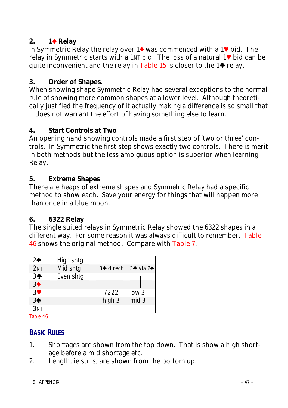## **2. 1★ Relay**

In Symmetric Relay the relay over  $1\blacklozenge$  was commenced with a  $1\blacktriangledown$  bid. The relay in Symmetric starts with a 1NT bid. The loss of a natural 1y bid can be quite inconvenient and the relay in Table 15 is closer to the  $1\spadesuit$  relay.

## **3. Order of Shapes.**

When showing shape Symmetric Relay had several exceptions to the normal rule of showing more common shapes at a lower level. Although theoretically justified the frequency of it actually making a difference is so small that it does not warrant the effort of having something else to learn.

### **4. Start Controls at Two**

An opening hand showing controls made a first step of 'two or three' controls. In Symmetric the first step shows exactly two controls. There is merit in both methods but the less ambiguous option is superior when learning Relay.

#### **5. Extreme Shapes**

There are heaps of extreme shapes and *Symmetric Relay* had a specific method to show each. Save your energy for things that will happen more than once in a blue moon.

## **6. 6322 Relay**

The single suited relays in Symmetric Relay showed the 6322 shapes in a different way. For some reason it was always difficult to remember. Table 46 shows the original method. Compare with Table 7.

| 2♠                           | High shtg |            |                                 |
|------------------------------|-----------|------------|---------------------------------|
| 2NT                          | Mid shtg  | $3$ direct | $3\spadesuit$ via $2\spadesuit$ |
| 3 <sup>4</sup>               | Even shtg |            |                                 |
| 3 <sup>4</sup>               |           |            |                                 |
| $3\Psi$                      |           | 7222       | low <sub>3</sub>                |
| 3♠                           |           | high 3     | mid 3                           |
| 3NT<br>— <b>11</b> <i>11</i> |           |            |                                 |

Table 46

## **BASIC RULES**

- 1. Shortages are shown from the top down. That is show a high shortage before a mid shortage etc.
- 2. Length, ie suits, are shown from the bottom up.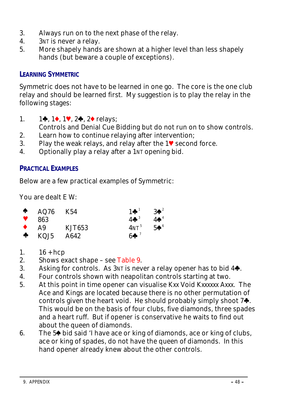- 3. Always run on to the next phase of the relay.
- 4. 3NT is never a relay.
- 5. More shapely hands are shown at a higher level than less shapely hands (but beware a couple of exceptions).

## **LEARNING SYMMETRIC**

Symmetric does not have to be learned in one go. The core is the one club relay and should be learned first. My suggestion is to play the relay in the following stages:

1. 1w, 1x, 1y, 2w, 2x relays;

Controls and Denial Cue Bidding but do not run on to show controls.

- 2. Learn how to continue relaying after intervention;
- 3. Play the weak relays, and relay after the  $1\blacktriangledown$  second force.
- 4. Optionally play a relay after a 1NT opening bid.

### **PRACTICAL EXAMPLES**

Below are a few practical examples of Symmetric:

You are dealt E W:

| ♠ | AQ76 | K54    | $1 + 1$                    | $3\spadesuit^2$            |
|---|------|--------|----------------------------|----------------------------|
|   | 863  |        | $4 \clubsuit$ <sup>3</sup> | $4\spadesuit^4$            |
|   | A9   | KJT653 | $4NT^5$                    | $5\spadesuit$ <sup>6</sup> |
| ♣ | KQJ5 | A642   | $6 + 7$                    |                            |

- 1.  $16 + hcp$
- 2. Shows exact shape see Table 9.
- 3. Asking for controls. As  $3NT$  is never a relay opener has to bid  $4\clubsuit$ .
- 4. Four controls shown with neapolitan controls starting at two.
- 5. At this point in time opener can visualise Kxx Void Kxxxxxx Axxx. The Ace and Kings are located because there is no other permutation of controls given the heart void. He should probably simply shoot  $7\clubsuit$ . This would be on the basis of four clubs, five diamonds, three spades and a heart ruff. But if opener is conservative he waits to find out about the queen of diamonds.
- 6. The 5<sup> $\blacklozenge$ </sup> bid said 'I have ace or king of diamonds, ace or king of clubs, ace or king of spades, do not have the queen of diamonds. In this hand opener already knew about the other controls.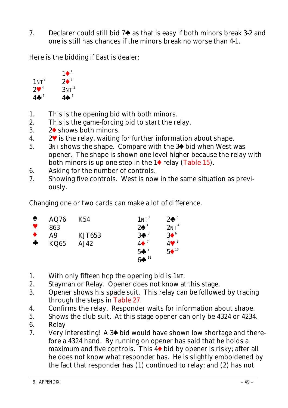7. Declarer could still bid  $7\clubsuit$  as that is easy if both minors break 3-2 and one is still has chances if the minors break no worse than 4-1.

Here is the bidding if East is dealer:



- 1. This is the opening bid with both minors.
- 2. This is the game-forcing bid to start the relay.
- 3.  $2\blacklozenge$  shows both minors.
- 4.  $2^{\bullet}$  is the relay, waiting for further information about shape.
- 5.  $3NT$  shows the shape. Compare with the 3<sup> $\blacklozenge$ </sup> bid when West was opener. The shape is shown one level higher because the relay with both minors is up one step in the  $1\blacklozenge$  relay (Table 15).
- 6. Asking for the number of controls.
- 7. Showing five controls. West is now in the same situation as previously.

Changing one or two cards can make a lot of difference.

| ♠           | AQ76 | K54           | 1N <sup>1</sup> | $2\spadesuit^2$          |
|-------------|------|---------------|-----------------|--------------------------|
|             | 863  |               | $2\spadesuit^3$ | 2NT <sup>4</sup>         |
|             | A9   | <b>KJT653</b> | 3 <sup>5</sup>  | $3^6$                    |
| $\clubsuit$ | KQ65 | AJ42          | $4\bullet$      | $4$ V $^8$               |
|             |      |               | $5+°$           | $5\bullet$ <sup>10</sup> |
|             |      |               | $6 + 11$        |                          |

- 1. With only fifteen hcp the opening bid is 1NT.
- 2. Stayman or Relay. Opener does not know at this stage.
- 3. Opener shows his spade suit. This relay can be followed by tracing through the steps in Table 27.
- 4. Confirms the relay. Responder waits for information about shape.
- 5. Shows the club suit. At this stage opener can only be *4324* or *4234*. 6. Relay
- 7. Very interesting! A  $3\spadesuit$  bid would have shown low shortage and therefore a *4324* hand. By running on opener has said that he holds a maximum and five controls. This  $4\blacklozenge$  bid by opener is risky; after all he does not know what responder has. He is slightly emboldened by the fact that responder has (1) continued to relay; and (2) has not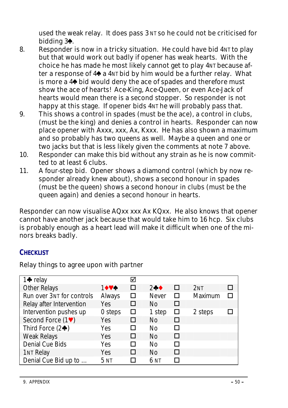used the weak relay. It does pass 3 NT so he could not be criticised for bidding  $3\spadesuit$ .

- 8. Responder is now in a tricky situation. He could have bid  $4N<sub>T</sub>$  to play but that would work out badly if opener has weak hearts. With the choice he has made he most likely cannot get to play 4NT because after a response of  $4\spadesuit$  a  $4N\bar{1}$  bid by him would be a further relay. What is more a 4<sup> $\bullet$ </sup> bid would deny the ace of spades and therefore must show the ace of hearts! Ace-King, Ace-Queen, or even Ace-Jack of hearts would mean there is a second stopper. So responder is not happy at this stage. If opener bids  $4N<sup>T</sup>$  he will probably pass that.
- 9. This shows a control in spades (must be the ace), a control in clubs, (must be the king) and denies a control in hearts. Responder can now place opener with Axxx, xxx, Ax, Kxxx. He has also shown a maximum and so probably has two queens as well. Maybe a queen and one or two jacks but that is less likely given the comments at note 7 above.
- 10. Responder can make this bid without any strain as he is now committed to at least 6 clubs.
- 11. A four-step bid. Opener shows a diamond control (which by now responder already knew about), shows a second honour in spades (must be the queen) shows a second honour in clubs (must be the queen again) and denies a second honour in hearts.

Responder can now visualise AQxx xxx Ax KQxx. He also knows that opener cannot have another jack because that would take him to 16 hcp. Six clubs is probably enough as a heart lead will make it difficult when one of the minors breaks badly.

#### **CHECKLIST**

Relay things to agree upon with partner

| 1 $\bullet$ relay          |                 | ☑ |               |    |                 |  |
|----------------------------|-----------------|---|---------------|----|-----------------|--|
| Other Relays               | 1074            | □ | $2 + \bullet$ | п  | 2 <sub>NT</sub> |  |
| Run over 3NT for controls  | Always          | □ | <b>Never</b>  | п  | Maximum         |  |
| Relay after Intervention   | Yes             | □ | No            | □  |                 |  |
| Intervention pushes up     | 0 steps         | □ | 1 step        | □  | 2 steps         |  |
| Second Force (1V)          | <b>Yes</b>      | п | No            | п  |                 |  |
| Third Force $(2\clubsuit)$ | Yes             | П | N٥            | п  |                 |  |
| <b>Weak Relays</b>         | <b>Yes</b>      | п | No            | п  |                 |  |
| Denial Cue Bids            | Yes             | П | Nο            | ΙI |                 |  |
| <b>1NT Relay</b>           | Yes             | П | No            | П  |                 |  |
| Denial Cue Bid up to       | 5 <sub>NT</sub> |   | 6 NT          |    |                 |  |